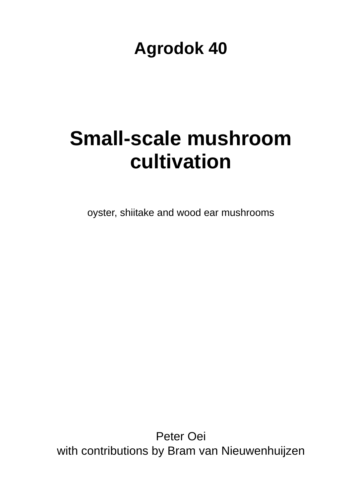# **Agrodok 40**

# **Small-scale mushroom cultivation**

oyster, shiitake and wood ear mushrooms

Peter Oei with contributions by Bram van Nieuwenhuijzen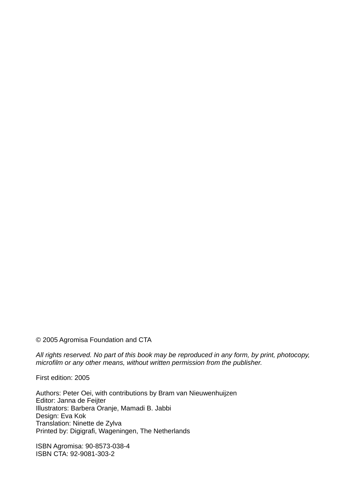© 2005 Agromisa Foundation and CTA

*All rights reserved. No part of this book may be reproduced in any form, by print, photocopy, microfilm or any other means, without written permission from the publisher.* 

First edition: 2005

Authors: Peter Oei, with contributions by Bram van Nieuwenhuijzen Editor: Janna de Feijter Illustrators: Barbera Oranje, Mamadi B. Jabbi Design: Eva Kok Translation: Ninette de Zylva Printed by: Digigrafi, Wageningen, The Netherlands

ISBN Agromisa: 90-8573-038-4 ISBN CTA: 92-9081-303-2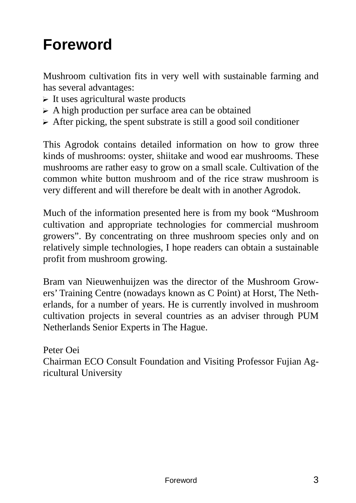# **Foreword**

Mushroom cultivation fits in very well with sustainable farming and has several advantages:

- $\triangleright$  It uses agricultural waste products
- $\triangleright$  A high production per surface area can be obtained
- $\triangleright$  After picking, the spent substrate is still a good soil conditioner

This Agrodok contains detailed information on how to grow three kinds of mushrooms: oyster, shiitake and wood ear mushrooms. These mushrooms are rather easy to grow on a small scale. Cultivation of the common white button mushroom and of the rice straw mushroom is very different and will therefore be dealt with in another Agrodok.

Much of the information presented here is from my book "Mushroom cultivation and appropriate technologies for commercial mushroom growers". By concentrating on three mushroom species only and on relatively simple technologies, I hope readers can obtain a sustainable profit from mushroom growing.

Bram van Nieuwenhuijzen was the director of the Mushroom Growers' Training Centre (nowadays known as C Point) at Horst, The Netherlands, for a number of years. He is currently involved in mushroom cultivation projects in several countries as an adviser through PUM Netherlands Senior Experts in The Hague.

Peter Oei Chairman ECO Consult Foundation and Visiting Professor Fujian Agricultural University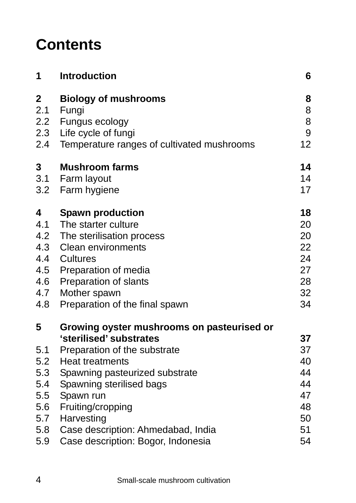# **Contents**

| 1           | <b>Introduction</b>                        | 6  |
|-------------|--------------------------------------------|----|
| $\mathbf 2$ | <b>Biology of mushrooms</b>                | 8  |
| 2.1         | Fungi                                      | 8  |
| 2.2         | Fungus ecology                             | 8  |
| 2.3         | Life cycle of fungi                        | 9  |
| 2.4         | Temperature ranges of cultivated mushrooms | 12 |
| 3           | <b>Mushroom farms</b>                      | 14 |
| 3.1         | Farm layout                                | 14 |
| 3.2         | Farm hygiene                               | 17 |
| 4           | <b>Spawn production</b>                    | 18 |
| 4.1         | The starter culture                        | 20 |
| 4.2         | The sterilisation process                  | 20 |
| 4.3         | <b>Clean environments</b>                  | 22 |
| 4.4         | Cultures                                   | 24 |
| 4.5         | Preparation of media                       | 27 |
| 4.6         | Preparation of slants                      | 28 |
| 4.7         | Mother spawn                               | 32 |
| 4.8         | Preparation of the final spawn             | 34 |
| 5           | Growing oyster mushrooms on pasteurised or |    |
|             | 'sterilised' substrates                    | 37 |
| 5.1         | Preparation of the substrate               | 37 |
| 5.2         | <b>Heat treatments</b>                     | 40 |
| 5.3         | Spawning pasteurized substrate             | 44 |
| 5.4         | Spawning sterilised bags                   | 44 |
| 5.5         | Spawn run                                  | 47 |
| 5.6         | Fruiting/cropping                          | 48 |
| 5.7         | Harvesting                                 | 50 |
| 5.8         | Case description: Ahmedabad, India         | 51 |
| 5.9         | Case description: Bogor, Indonesia         | 54 |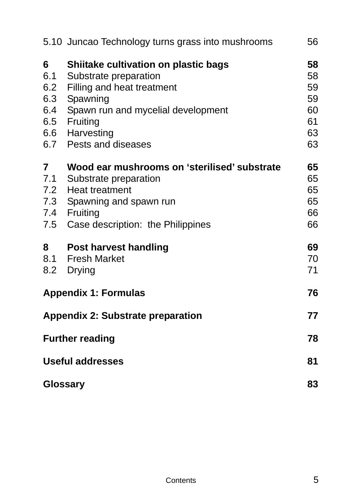|                                                   | 5.10 Juncao Technology turns grass into mushrooms                                                                                                                                                     | 56                                           |
|---------------------------------------------------|-------------------------------------------------------------------------------------------------------------------------------------------------------------------------------------------------------|----------------------------------------------|
| 6<br>6.1<br>6.2<br>6.3<br>6.4<br>6.5              | Shiitake cultivation on plastic bags<br>Substrate preparation<br>Filling and heat treatment<br>Spawning<br>Spawn run and mycelial development<br>Fruiting<br>6.6 Harvesting<br>6.7 Pests and diseases | 58<br>58<br>59<br>59<br>60<br>61<br>63<br>63 |
| $\overline{7}$<br>7.1<br>7.5                      | Wood ear mushrooms on 'sterilised' substrate<br>Substrate preparation<br>7.2 Heat treatment<br>7.3 Spawning and spawn run<br>7.4 Fruiting<br>Case description: the Philippines                        | 65<br>65<br>65<br>65<br>66<br>66             |
| 8<br>8.1<br>8.2                                   | <b>Post harvest handling</b><br><b>Fresh Market</b><br>Drying                                                                                                                                         | 69<br>70<br>71                               |
|                                                   | <b>Appendix 1: Formulas</b>                                                                                                                                                                           | 76                                           |
|                                                   | <b>Appendix 2: Substrate preparation</b>                                                                                                                                                              | 77                                           |
| <b>Further reading</b><br><b>Useful addresses</b> |                                                                                                                                                                                                       |                                              |
|                                                   |                                                                                                                                                                                                       |                                              |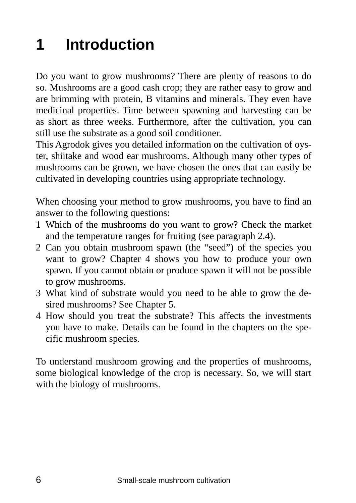# **1 Introduction**

Do you want to grow mushrooms? There are plenty of reasons to do so. Mushrooms are a good cash crop; they are rather easy to grow and are brimming with protein, B vitamins and minerals. They even have medicinal properties. Time between spawning and harvesting can be as short as three weeks. Furthermore, after the cultivation, you can still use the substrate as a good soil conditioner.

This Agrodok gives you detailed information on the cultivation of oyster, shiitake and wood ear mushrooms. Although many other types of mushrooms can be grown, we have chosen the ones that can easily be cultivated in developing countries using appropriate technology.

When choosing your method to grow mushrooms, you have to find an answer to the following questions:

- 1 Which of the mushrooms do you want to grow? Check the market and the temperature ranges for fruiting (see paragraph 2.4).
- 2 Can you obtain mushroom spawn (the "seed") of the species you want to grow? Chapter 4 shows you how to produce your own spawn. If you cannot obtain or produce spawn it will not be possible to grow mushrooms.
- 3 What kind of substrate would you need to be able to grow the desired mushrooms? See Chapter 5.
- 4 How should you treat the substrate? This affects the investments you have to make. Details can be found in the chapters on the specific mushroom species.

To understand mushroom growing and the properties of mushrooms, some biological knowledge of the crop is necessary. So, we will start with the biology of mushrooms.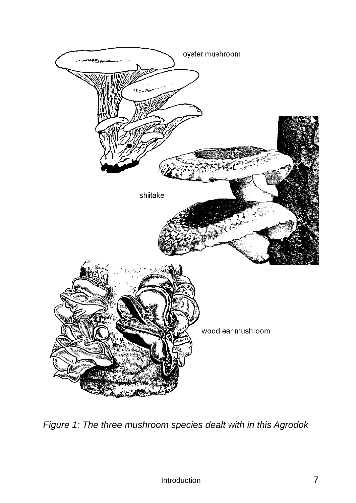

*Figure 1: The three mushroom species dealt with in this Agrodok*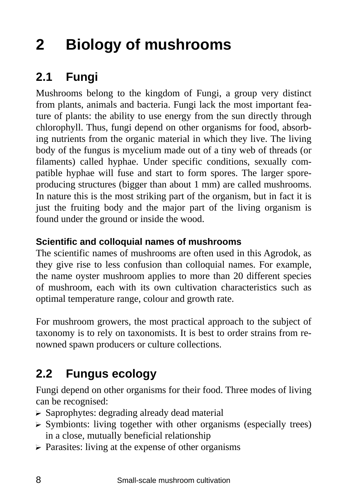# **2 Biology of mushrooms**

## **2.1 Fungi**

Mushrooms belong to the kingdom of Fungi, a group very distinct from plants, animals and bacteria. Fungi lack the most important feature of plants: the ability to use energy from the sun directly through chlorophyll. Thus, fungi depend on other organisms for food, absorbing nutrients from the organic material in which they live. The living body of the fungus is mycelium made out of a tiny web of threads (or filaments) called hyphae. Under specific conditions, sexually compatible hyphae will fuse and start to form spores. The larger sporeproducing structures (bigger than about 1 mm) are called mushrooms. In nature this is the most striking part of the organism, but in fact it is just the fruiting body and the major part of the living organism is found under the ground or inside the wood.

#### **Scientific and colloquial names of mushrooms**

The scientific names of mushrooms are often used in this Agrodok, as they give rise to less confusion than colloquial names. For example, the name oyster mushroom applies to more than 20 different species of mushroom, each with its own cultivation characteristics such as optimal temperature range, colour and growth rate.

For mushroom growers, the most practical approach to the subject of taxonomy is to rely on taxonomists. It is best to order strains from renowned spawn producers or culture collections.

## **2.2 Fungus ecology**

Fungi depend on other organisms for their food. Three modes of living can be recognised:

- $\triangleright$  Saprophytes: degrading already dead material
- $\triangleright$  Symbionts: living together with other organisms (especially trees) in a close, mutually beneficial relationship
- $\triangleright$  Parasites: living at the expense of other organisms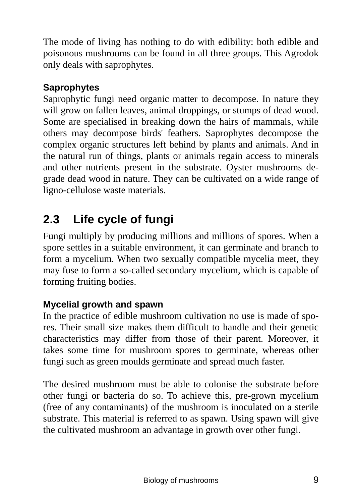The mode of living has nothing to do with edibility: both edible and poisonous mushrooms can be found in all three groups. This Agrodok only deals with saprophytes.

#### **Saprophytes**

Saprophytic fungi need organic matter to decompose. In nature they will grow on fallen leaves, animal droppings, or stumps of dead wood. Some are specialised in breaking down the hairs of mammals, while others may decompose birds' feathers. Saprophytes decompose the complex organic structures left behind by plants and animals. And in the natural run of things, plants or animals regain access to minerals and other nutrients present in the substrate. Oyster mushrooms degrade dead wood in nature. They can be cultivated on a wide range of ligno-cellulose waste materials.

## **2.3 Life cycle of fungi**

Fungi multiply by producing millions and millions of spores. When a spore settles in a suitable environment, it can germinate and branch to form a mycelium. When two sexually compatible mycelia meet, they may fuse to form a so-called secondary mycelium, which is capable of forming fruiting bodies.

#### **Mycelial growth and spawn**

In the practice of edible mushroom cultivation no use is made of spores. Their small size makes them difficult to handle and their genetic characteristics may differ from those of their parent. Moreover, it takes some time for mushroom spores to germinate, whereas other fungi such as green moulds germinate and spread much faster.

The desired mushroom must be able to colonise the substrate before other fungi or bacteria do so. To achieve this, pre-grown mycelium (free of any contaminants) of the mushroom is inoculated on a sterile substrate. This material is referred to as spawn. Using spawn will give the cultivated mushroom an advantage in growth over other fungi.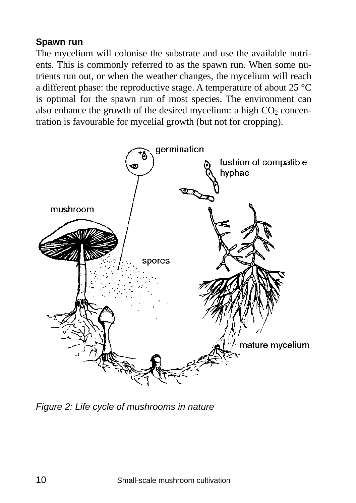#### **Spawn run**

The mycelium will colonise the substrate and use the available nutrients. This is commonly referred to as the spawn run. When some nutrients run out, or when the weather changes, the mycelium will reach a different phase: the reproductive stage. A temperature of about 25 °C is optimal for the spawn run of most species. The environment can also enhance the growth of the desired mycelium: a high  $CO<sub>2</sub>$  concentration is favourable for mycelial growth (but not for cropping).



*Figure 2: Life cycle of mushrooms in nature*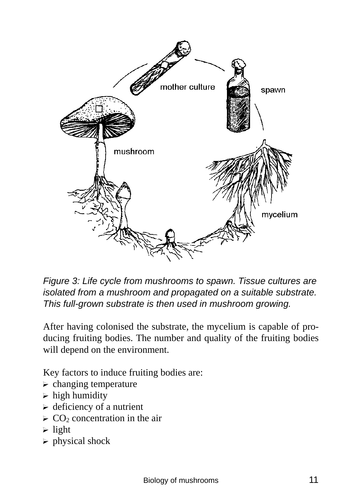

*Figure 3: Life cycle from mushrooms to spawn. Tissue cultures are isolated from a mushroom and propagated on a suitable substrate. This full-grown substrate is then used in mushroom growing.* 

After having colonised the substrate, the mycelium is capable of producing fruiting bodies. The number and quality of the fruiting bodies will depend on the environment.

Key factors to induce fruiting bodies are:

- $\triangleright$  changing temperature
- $\triangleright$  high humidity
- $\triangleright$  deficiency of a nutrient
- $\geq$  CO<sub>2</sub> concentration in the air
- $\triangleright$  light
- $\triangleright$  physical shock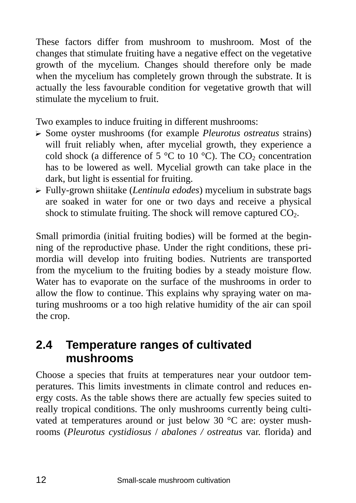These factors differ from mushroom to mushroom. Most of the changes that stimulate fruiting have a negative effect on the vegetative growth of the mycelium. Changes should therefore only be made when the mycelium has completely grown through the substrate. It is actually the less favourable condition for vegetative growth that will stimulate the mycelium to fruit.

Two examples to induce fruiting in different mushrooms:

- ? Some oyster mushrooms (for example *Pleurotus ostreatus* strains) will fruit reliably when, after mycelial growth, they experience a cold shock (a difference of 5  $\degree$ C to 10  $\degree$ C). The CO<sub>2</sub> concentration has to be lowered as well. Mycelial growth can take place in the dark, but light is essential for fruiting.
- ? Fully-grown shiitake (*Lentinula edodes*) mycelium in substrate bags are soaked in water for one or two days and receive a physical shock to stimulate fruiting. The shock will remove captured  $CO<sub>2</sub>$ .

Small primordia (initial fruiting bodies) will be formed at the beginning of the reproductive phase. Under the right conditions, these primordia will develop into fruiting bodies. Nutrients are transported from the mycelium to the fruiting bodies by a steady moisture flow. Water has to evaporate on the surface of the mushrooms in order to allow the flow to continue. This explains why spraying water on maturing mushrooms or a too high relative humidity of the air can spoil the crop.

### **2.4 Temperature ranges of cultivated mushrooms**

Choose a species that fruits at temperatures near your outdoor temperatures. This limits investments in climate control and reduces energy costs. As the table shows there are actually few species suited to really tropical conditions. The only mushrooms currently being cultivated at temperatures around or just below 30 °C are: oyster mushrooms (*Pleurotus cystidiosus* / *abalones / ostreatus* var. florida) and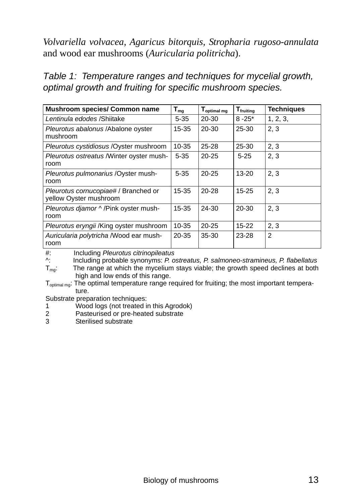*Volvariella volvacea, Agaricus bitorquis, Stropharia rugoso-annulata*  and wood ear mushrooms (*Auricularia politricha*).

*Table 1: Temperature ranges and techniques for mycelial growth, optimal growth and fruiting for specific mushroom species.* 

| <b>Mushroom species/ Common name</b>                           | $T_{mg}$  | T <sub>optimal mg</sub> | <b>T</b> fruiting | <b>Techniques</b> |
|----------------------------------------------------------------|-----------|-------------------------|-------------------|-------------------|
| Lentinula edodes /Shiitake                                     | $5 - 35$  | 20-30                   | $8 - 25^*$        | 1, 2, 3,          |
| Pleurotus abalonus / Abalone oyster<br>mushroom                | $15 - 35$ | $20 - 30$               | $25 - 30$         | 2, 3              |
| Pleurotus cystidiosus / Oyster mushroom                        | $10 - 35$ | $25 - 28$               | $25 - 30$         | 2, 3              |
| Pleurotus ostreatus / Winter oyster mush-<br>room              | $5 - 35$  | $20 - 25$               | $5 - 25$          | 2, 3              |
| Pleurotus pulmonarius / Oyster mush-<br>room                   | $5 - 35$  | $20 - 25$               | $13 - 20$         | 2, 3              |
| Pleurotus cornucopiae# / Branched or<br>yellow Oyster mushroom | $15 - 35$ | $20 - 28$               | $15 - 25$         | 2, 3              |
| Pleurotus diamor ^ /Pink oyster mush-<br>room                  | $15 - 35$ | 24-30                   | $20 - 30$         | 2, 3              |
| Pleurotus eryngii /King oyster mushroom                        | $10 - 35$ | $20 - 25$               | $15 - 22$         | 2, 3              |
| Auricularia polytricha / Wood ear mush-<br>room                | $20 - 35$ | 35-30                   | $23 - 28$         | $\overline{2}$    |

#: Including *Pleurotus citrinopileatus*

^: Including probable synonyms: *P. ostreatus, P. salmoneo-stramineus, P. flabellatus* 

 $T_{\text{ma}}$ : The range at which the mycelium stays viable; the growth speed declines at both high and low ends of this range.

T<sub>optimal mg</sub>: The optimal temperature range required for fruiting; the most important temperature.

Substrate preparation techniques:

- 1 Wood logs (not treated in this Agrodok)
- 2 Pasteurised or pre-heated substrate<br>3 Sterilised substrate
- Sterilised substrate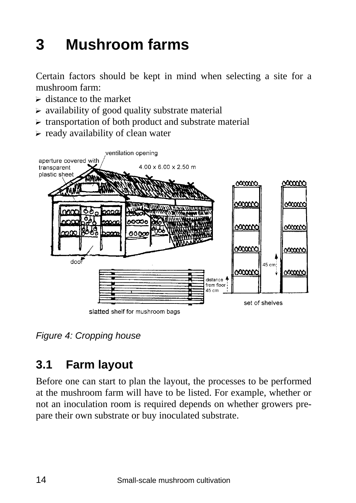# **3 Mushroom farms**

Certain factors should be kept in mind when selecting a site for a mushroom farm:

- $\triangleright$  distance to the market
- $\triangleright$  availability of good quality substrate material
- $\triangleright$  transportation of both product and substrate material
- $\triangleright$  ready availability of clean water



*Figure 4: Cropping house* 

## **3.1 Farm layout**

Before one can start to plan the layout, the processes to be performed at the mushroom farm will have to be listed. For example, whether or not an inoculation room is required depends on whether growers prepare their own substrate or buy inoculated substrate.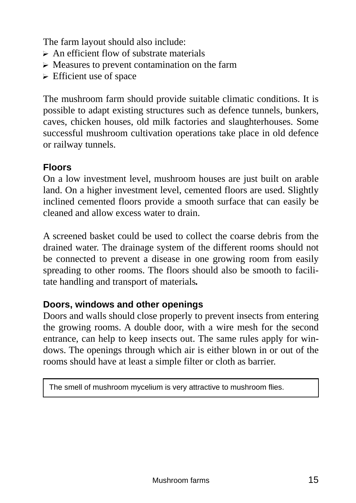The farm layout should also include:

- $\triangleright$  An efficient flow of substrate materials
- $\triangleright$  Measures to prevent contamination on the farm
- $\triangleright$  Efficient use of space

The mushroom farm should provide suitable climatic conditions. It is possible to adapt existing structures such as defence tunnels, bunkers, caves, chicken houses, old milk factories and slaughterhouses. Some successful mushroom cultivation operations take place in old defence or railway tunnels.

#### **Floors**

On a low investment level, mushroom houses are just built on arable land. On a higher investment level, cemented floors are used. Slightly inclined cemented floors provide a smooth surface that can easily be cleaned and allow excess water to drain.

A screened basket could be used to collect the coarse debris from the drained water. The drainage system of the different rooms should not be connected to prevent a disease in one growing room from easily spreading to other rooms. The floors should also be smooth to facilitate handling and transport of materials*.* 

#### **Doors, windows and other openings**

Doors and walls should close properly to prevent insects from entering the growing rooms. A double door, with a wire mesh for the second entrance, can help to keep insects out. The same rules apply for windows. The openings through which air is either blown in or out of the rooms should have at least a simple filter or cloth as barrier.

The smell of mushroom mycelium is very attractive to mushroom flies.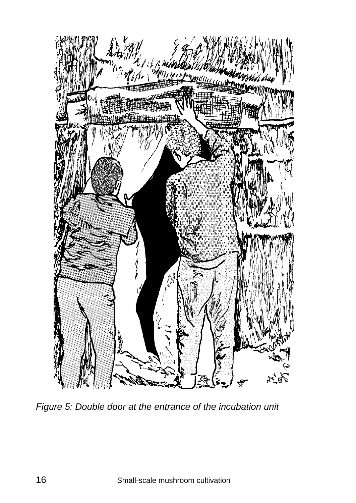

*Figure 5: Double door at the entrance of the incubation unit*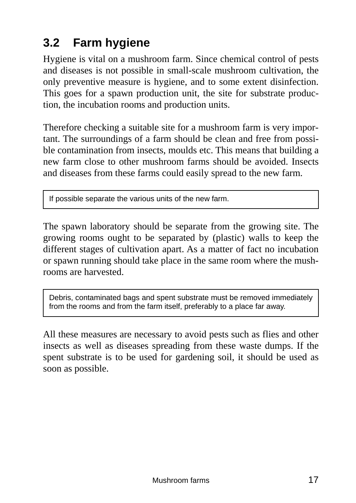## **3.2 Farm hygiene**

Hygiene is vital on a mushroom farm. Since chemical control of pests and diseases is not possible in small-scale mushroom cultivation, the only preventive measure is hygiene, and to some extent disinfection. This goes for a spawn production unit, the site for substrate production, the incubation rooms and production units.

Therefore checking a suitable site for a mushroom farm is very important. The surroundings of a farm should be clean and free from possible contamination from insects, moulds etc. This means that building a new farm close to other mushroom farms should be avoided. Insects and diseases from these farms could easily spread to the new farm.

If possible separate the various units of the new farm.

The spawn laboratory should be separate from the growing site. The growing rooms ought to be separated by (plastic) walls to keep the different stages of cultivation apart. As a matter of fact no incubation or spawn running should take place in the same room where the mushrooms are harvested.

Debris, contaminated bags and spent substrate must be removed immediately from the rooms and from the farm itself, preferably to a place far away.

All these measures are necessary to avoid pests such as flies and other insects as well as diseases spreading from these waste dumps. If the spent substrate is to be used for gardening soil, it should be used as soon as possible.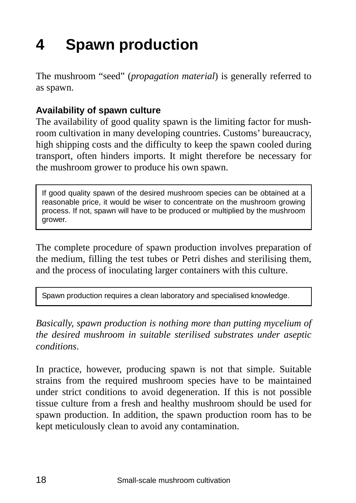# **4 Spawn production**

The mushroom "seed" (*propagation material*) is generally referred to as spawn.

#### **Availability of spawn culture**

The availability of good quality spawn is the limiting factor for mushroom cultivation in many developing countries. Customs' bureaucracy, high shipping costs and the difficulty to keep the spawn cooled during transport, often hinders imports. It might therefore be necessary for the mushroom grower to produce his own spawn.

If good quality spawn of the desired mushroom species can be obtained at a reasonable price, it would be wiser to concentrate on the mushroom growing process. If not, spawn will have to be produced or multiplied by the mushroom grower.

The complete procedure of spawn production involves preparation of the medium, filling the test tubes or Petri dishes and sterilising them, and the process of inoculating larger containers with this culture.

Spawn production requires a clean laboratory and specialised knowledge.

*Basically, spawn production is nothing more than putting mycelium of the desired mushroom in suitable sterilised substrates under aseptic conditions*.

In practice, however, producing spawn is not that simple. Suitable strains from the required mushroom species have to be maintained under strict conditions to avoid degeneration. If this is not possible tissue culture from a fresh and healthy mushroom should be used for spawn production. In addition, the spawn production room has to be kept meticulously clean to avoid any contamination.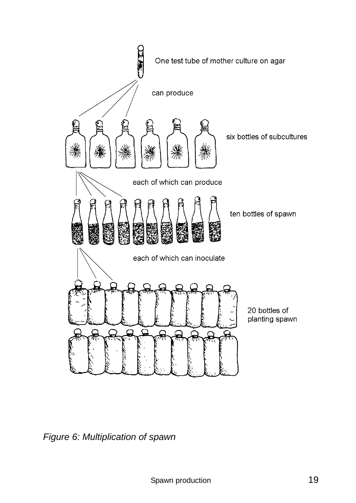

*Figure 6: Multiplication of spawn*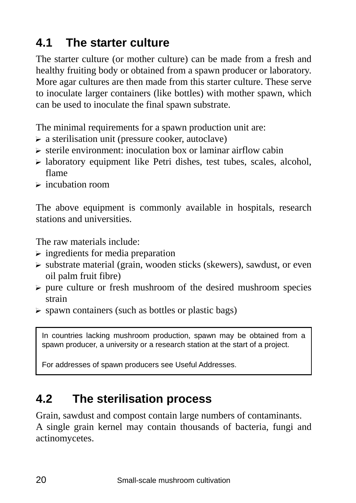## **4.1 The starter culture**

The starter culture (or mother culture) can be made from a fresh and healthy fruiting body or obtained from a spawn producer or laboratory. More agar cultures are then made from this starter culture. These serve to inoculate larger containers (like bottles) with mother spawn, which can be used to inoculate the final spawn substrate.

The minimal requirements for a spawn production unit are:

- $\triangleright$  a sterilisation unit (pressure cooker, autoclave)
- $\triangleright$  sterile environment: inoculation box or laminar airflow cabin
- $\triangleright$  laboratory equipment like Petri dishes, test tubes, scales, alcohol, flame
- $\triangleright$  incubation room

The above equipment is commonly available in hospitals, research stations and universities.

The raw materials include:

- ? ingredients for media preparation
- $\triangleright$  substrate material (grain, wooden sticks (skewers), sawdust, or even oil palm fruit fibre)
- $\triangleright$  pure culture or fresh mushroom of the desired mushroom species strain
- $\triangleright$  spawn containers (such as bottles or plastic bags)

In countries lacking mushroom production, spawn may be obtained from a spawn producer, a university or a research station at the start of a project.

For addresses of spawn producers see Useful Addresses.

### **4.2 The sterilisation process**

Grain, sawdust and compost contain large numbers of contaminants. A single grain kernel may contain thousands of bacteria, fungi and actinomycetes.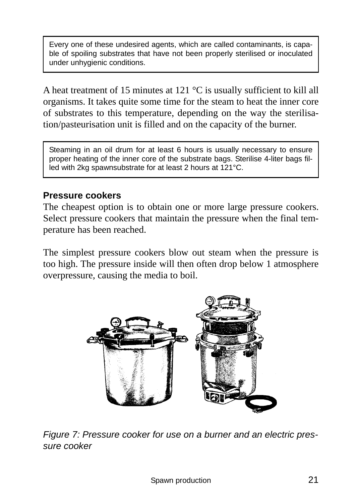Every one of these undesired agents, which are called contaminants, is capable of spoiling substrates that have not been properly sterilised or inoculated under unhygienic conditions.

A heat treatment of 15 minutes at 121 °C is usually sufficient to kill all organisms. It takes quite some time for the steam to heat the inner core of substrates to this temperature, depending on the way the sterilisation/pasteurisation unit is filled and on the capacity of the burner.

Steaming in an oil drum for at least 6 hours is usually necessary to ensure proper heating of the inner core of the substrate bags. Sterilise 4-liter bags filled with 2kg spawnsubstrate for at least 2 hours at 121°C.

#### **Pressure cookers**

The cheapest option is to obtain one or more large pressure cookers. Select pressure cookers that maintain the pressure when the final temperature has been reached.

The simplest pressure cookers blow out steam when the pressure is too high. The pressure inside will then often drop below 1 atmosphere overpressure, causing the media to boil.



*Figure 7: Pressure cooker for use on a burner and an electric pressure cooker*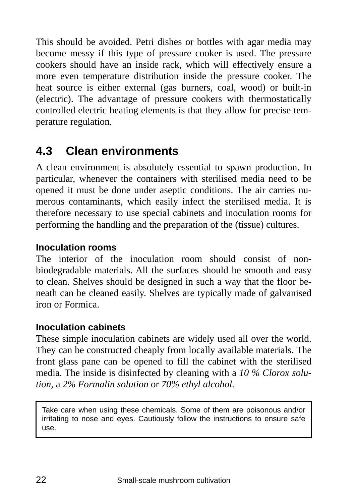This should be avoided. Petri dishes or bottles with agar media may become messy if this type of pressure cooker is used. The pressure cookers should have an inside rack, which will effectively ensure a more even temperature distribution inside the pressure cooker. The heat source is either external (gas burners, coal, wood) or built-in (electric). The advantage of pressure cookers with thermostatically controlled electric heating elements is that they allow for precise temperature regulation.

### **4.3 Clean environments**

A clean environment is absolutely essential to spawn production. In particular, whenever the containers with sterilised media need to be opened it must be done under aseptic conditions. The air carries numerous contaminants, which easily infect the sterilised media. It is therefore necessary to use special cabinets and inoculation rooms for performing the handling and the preparation of the (tissue) cultures.

#### **Inoculation rooms**

The interior of the inoculation room should consist of nonbiodegradable materials. All the surfaces should be smooth and easy to clean. Shelves should be designed in such a way that the floor beneath can be cleaned easily. Shelves are typically made of galvanised iron or Formica.

#### **Inoculation cabinets**

These simple inoculation cabinets are widely used all over the world. They can be constructed cheaply from locally available materials. The front glass pane can be opened to fill the cabinet with the sterilised media. The inside is disinfected by cleaning with a *10 % Clorox solution,* a *2% Formalin solution* or *70% ethyl alcohol.* 

Take care when using these chemicals. Some of them are poisonous and/or irritating to nose and eyes. Cautiously follow the instructions to ensure safe use.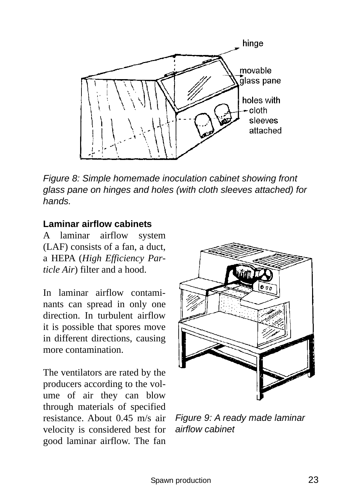

*Figure 8: Simple homemade inoculation cabinet showing front glass pane on hinges and holes (with cloth sleeves attached) for hands.* 

#### **Laminar airflow cabinets**

A laminar airflow system (LAF) consists of a fan, a duct, a HEPA (*High Efficiency Particle Air*) filter and a hood.

In laminar airflow contaminants can spread in only one direction. In turbulent airflow it is possible that spores move in different directions, causing more contamination.

The ventilators are rated by the producers according to the volume of air they can blow through materials of specified resistance. About 0.45 m/s air velocity is considered best for good laminar airflow. The fan



*Figure 9: A ready made laminar airflow cabinet*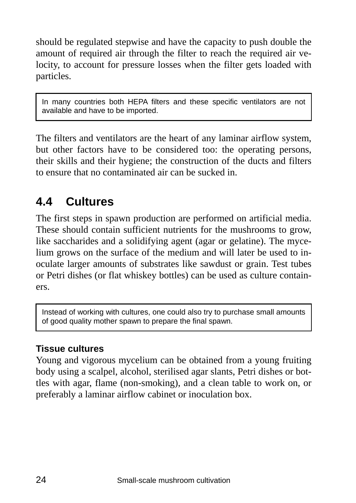should be regulated stepwise and have the capacity to push double the amount of required air through the filter to reach the required air velocity, to account for pressure losses when the filter gets loaded with particles.

In many countries both HEPA filters and these specific ventilators are not available and have to be imported.

The filters and ventilators are the heart of any laminar airflow system, but other factors have to be considered too: the operating persons, their skills and their hygiene; the construction of the ducts and filters to ensure that no contaminated air can be sucked in.

## **4.4 Cultures**

The first steps in spawn production are performed on artificial media. These should contain sufficient nutrients for the mushrooms to grow, like saccharides and a solidifying agent (agar or gelatine). The mycelium grows on the surface of the medium and will later be used to inoculate larger amounts of substrates like sawdust or grain. Test tubes or Petri dishes (or flat whiskey bottles) can be used as culture containers.

Instead of working with cultures, one could also try to purchase small amounts of good quality mother spawn to prepare the final spawn.

#### **Tissue cultures**

Young and vigorous mycelium can be obtained from a young fruiting body using a scalpel, alcohol, sterilised agar slants, Petri dishes or bottles with agar, flame (non-smoking), and a clean table to work on, or preferably a laminar airflow cabinet or inoculation box.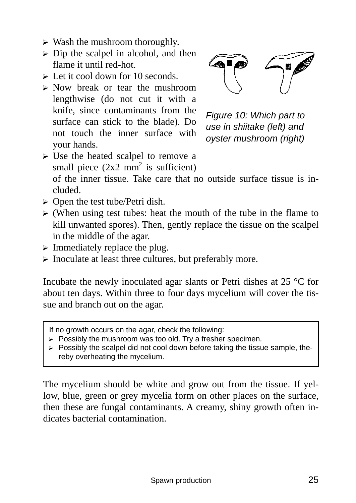- $\triangleright$  Wash the mushroom thoroughly.
- $\triangleright$  Dip the scalpel in alcohol, and then flame it until red-hot.
- $\triangleright$  Let it cool down for 10 seconds.
- $\triangleright$  Now break or tear the mushroom lengthwise (do not cut it with a knife, since contaminants from the surface can stick to the blade). Do not touch the inner surface with your hands.



*Figure 10: Which part to use in shiitake (left) and oyster mushroom (right)* 

 $\triangleright$  Use the heated scalpel to remove a small piece  $(2x2 \text{ mm}^2 \text{ is sufficient})$ 

of the inner tissue. Take care that no outside surface tissue is included.

- $\triangleright$  Open the test tube/Petri dish.
- $\triangleright$  (When using test tubes: heat the mouth of the tube in the flame to kill unwanted spores). Then, gently replace the tissue on the scalpel in the middle of the agar.
- $\triangleright$  Immediately replace the plug.
- $\triangleright$  Inoculate at least three cultures, but preferably more.

Incubate the newly inoculated agar slants or Petri dishes at 25 °C for about ten days. Within three to four days mycelium will cover the tissue and branch out on the agar.

If no growth occurs on the agar, check the following:

- $\triangleright$  Possibly the mushroom was too old. Try a fresher specimen.
- $\triangleright$  Possibly the scalpel did not cool down before taking the tissue sample, thereby overheating the mycelium.

The mycelium should be white and grow out from the tissue. If yellow, blue, green or grey mycelia form on other places on the surface, then these are fungal contaminants. A creamy, shiny growth often indicates bacterial contamination.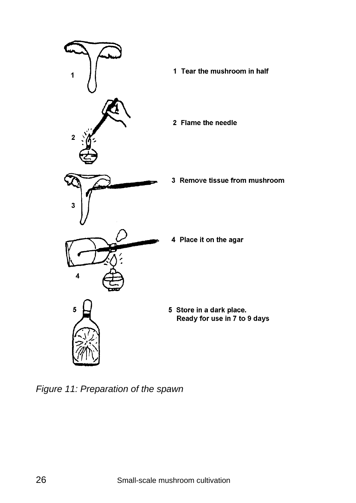

*Figure 11: Preparation of the spawn*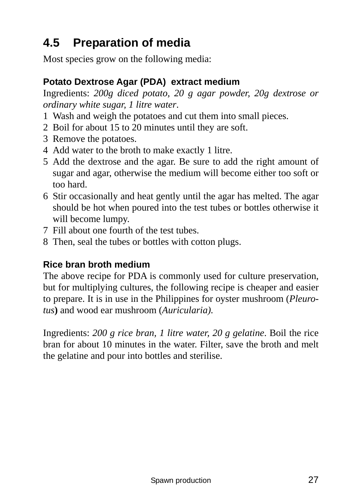## **4.5 Preparation of media**

Most species grow on the following media:

#### **Potato Dextrose Agar (PDA) extract medium**

Ingredients: *200g diced potato, 20 g agar powder, 20g dextrose or ordinary white sugar, 1 litre water*.

- 1 Wash and weigh the potatoes and cut them into small pieces.
- 2 Boil for about 15 to 20 minutes until they are soft.
- 3 Remove the potatoes.
- 4 Add water to the broth to make exactly 1 litre.
- 5 Add the dextrose and the agar. Be sure to add the right amount of sugar and agar, otherwise the medium will become either too soft or too hard.
- 6 Stir occasionally and heat gently until the agar has melted. The agar should be hot when poured into the test tubes or bottles otherwise it will become lumpy.
- 7 Fill about one fourth of the test tubes.
- 8 Then, seal the tubes or bottles with cotton plugs.

#### **Rice bran broth medium**

The above recipe for PDA is commonly used for culture preservation, but for multiplying cultures, the following recipe is cheaper and easier to prepare. It is in use in the Philippines for oyster mushroom (*Pleurotus***)** and wood ear mushroom (*Auricularia)*.

Ingredients: *200 g rice bran, 1 litre water, 20 g gelatine*. Boil the rice bran for about 10 minutes in the water. Filter, save the broth and melt the gelatine and pour into bottles and sterilise.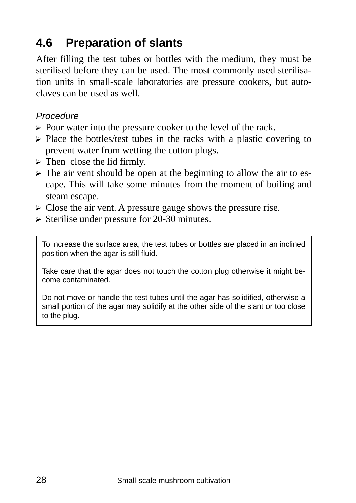## **4.6 Preparation of slants**

After filling the test tubes or bottles with the medium, they must be sterilised before they can be used. The most commonly used sterilisation units in small-scale laboratories are pressure cookers, but autoclaves can be used as well.

#### *Procedure*

- $\triangleright$  Pour water into the pressure cooker to the level of the rack.
- $\triangleright$  Place the bottles/test tubes in the racks with a plastic covering to prevent water from wetting the cotton plugs.
- $\triangleright$  Then close the lid firmly.
- $\triangleright$  The air vent should be open at the beginning to allow the air to escape. This will take some minutes from the moment of boiling and steam escape.
- $\triangleright$  Close the air vent. A pressure gauge shows the pressure rise.
- $\triangleright$  Sterilise under pressure for 20-30 minutes.

To increase the surface area, the test tubes or bottles are placed in an inclined position when the agar is still fluid.

Take care that the agar does not touch the cotton plug otherwise it might become contaminated.

Do not move or handle the test tubes until the agar has solidified, otherwise a small portion of the agar may solidify at the other side of the slant or too close to the plug.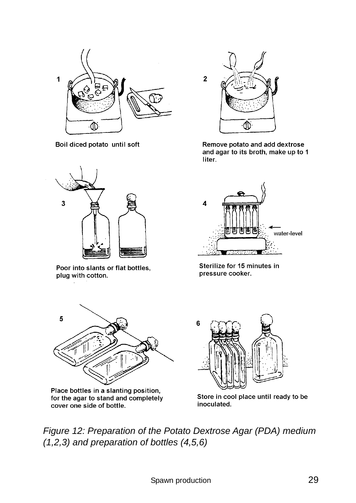

Boil diced potato until soft



Poor into slants or flat bottles, plug with cotton.



Remove potato and add dextrose and agar to its broth, make up to 1 liter.



Sterilize for 15 minutes in pressure cooker.



Place bottles in a slanting position, for the agar to stand and completely cover one side of bottle.



Store in cool place until ready to be inoculated.

*Figure 12: Preparation of the Potato Dextrose Agar (PDA) medium (1,2,3) and preparation of bottles (4,5,6)*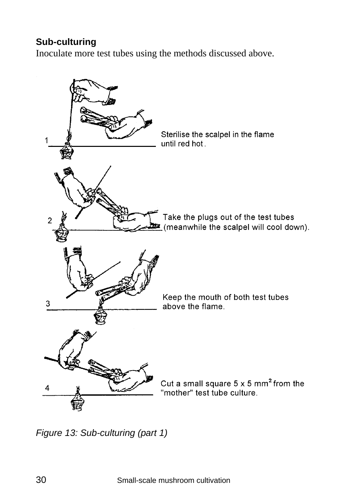#### **Sub-culturing**

Inoculate more test tubes using the methods discussed above.



*Figure 13: Sub-culturing (part 1)*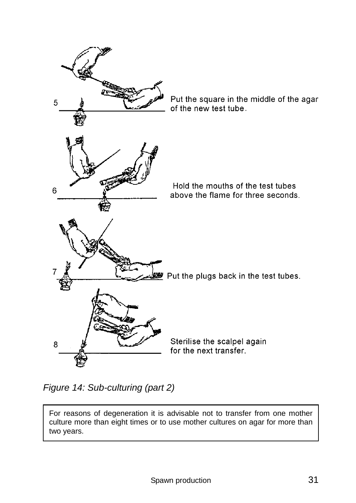

*Figure 14: Sub-culturing (part 2)* 

For reasons of degeneration it is advisable not to transfer from one mother culture more than eight times or to use mother cultures on agar for more than two years.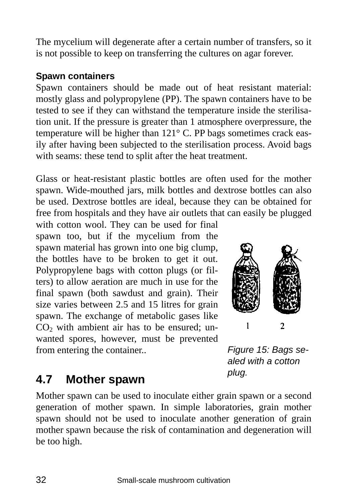The mycelium will degenerate after a certain number of transfers, so it is not possible to keep on transferring the cultures on agar forever.

#### **Spawn containers**

Spawn containers should be made out of heat resistant material: mostly glass and polypropylene (PP). The spawn containers have to be tested to see if they can withstand the temperature inside the sterilisation unit. If the pressure is greater than 1 atmosphere overpressure, the temperature will be higher than 121° C. PP bags sometimes crack easily after having been subjected to the sterilisation process. Avoid bags with seams: these tend to split after the heat treatment.

Glass or heat-resistant plastic bottles are often used for the mother spawn. Wide-mouthed jars, milk bottles and dextrose bottles can also be used. Dextrose bottles are ideal, because they can be obtained for free from hospitals and they have air outlets that can easily be plugged

with cotton wool. They can be used for final spawn too, but if the mycelium from the spawn material has grown into one big clump, the bottles have to be broken to get it out. Polypropylene bags with cotton plugs (or filters) to allow aeration are much in use for the final spawn (both sawdust and grain). Their size varies between 2.5 and 15 litres for grain spawn. The exchange of metabolic gases like  $CO<sub>2</sub>$  with ambient air has to be ensured; unwanted spores, however, must be prevented from entering the container..



*Figure 15: Bags sealed with a cotton plug.* 

## **4.7 Mother spawn**

Mother spawn can be used to inoculate either grain spawn or a second generation of mother spawn. In simple laboratories, grain mother spawn should not be used to inoculate another generation of grain mother spawn because the risk of contamination and degeneration will be too high.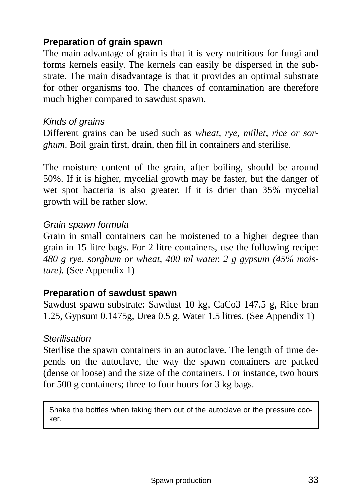#### **Preparation of grain spawn**

The main advantage of grain is that it is very nutritious for fungi and forms kernels easily. The kernels can easily be dispersed in the substrate. The main disadvantage is that it provides an optimal substrate for other organisms too. The chances of contamination are therefore much higher compared to sawdust spawn.

#### *Kinds of grains*

Different grains can be used such as *wheat, rye, millet, rice or sorghum*. Boil grain first, drain, then fill in containers and sterilise.

The moisture content of the grain, after boiling, should be around 50%. If it is higher, mycelial growth may be faster, but the danger of wet spot bacteria is also greater. If it is drier than 35% mycelial growth will be rather slow.

#### *Grain spawn formula*

Grain in small containers can be moistened to a higher degree than grain in 15 litre bags. For 2 litre containers, use the following recipe: *480 g rye, sorghum or wheat, 400 ml water, 2 g gypsum (45% moisture).* (See Appendix 1)

#### **Preparation of sawdust spawn**

Sawdust spawn substrate: Sawdust 10 kg, CaCo3 147.5 g, Rice bran 1.25, Gypsum 0.1475g, Urea 0.5 g, Water 1.5 litres. (See Appendix 1)

#### *Sterilisation*

Sterilise the spawn containers in an autoclave. The length of time depends on the autoclave, the way the spawn containers are packed (dense or loose) and the size of the containers. For instance, two hours for 500 g containers; three to four hours for 3 kg bags.

Shake the bottles when taking them out of the autoclave or the pressure cooker.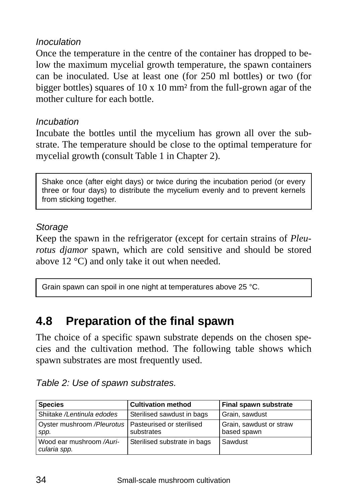#### *Inoculation*

Once the temperature in the centre of the container has dropped to below the maximum mycelial growth temperature, the spawn containers can be inoculated. Use at least one (for 250 ml bottles) or two (for bigger bottles) squares of  $10 \times 10$  mm<sup>2</sup> from the full-grown agar of the mother culture for each bottle.

#### *Incubation*

Incubate the bottles until the mycelium has grown all over the substrate. The temperature should be close to the optimal temperature for mycelial growth (consult Table 1 in Chapter 2).

Shake once (after eight days) or twice during the incubation period (or every three or four days) to distribute the mycelium evenly and to prevent kernels from sticking together.

#### *Storage*

Keep the spawn in the refrigerator (except for certain strains of *Pleurotus djamor* spawn, which are cold sensitive and should be stored above 12 °C) and only take it out when needed.

Grain spawn can spoil in one night at temperatures above 25 °C.

### **4.8 Preparation of the final spawn**

The choice of a specific spawn substrate depends on the chosen species and the cultivation method. The following table shows which spawn substrates are most frequently used.

| <b>Species</b>                                                  | <b>Cultivation method</b>    | Final spawn substrate                  |
|-----------------------------------------------------------------|------------------------------|----------------------------------------|
| Shiitake /Lentinula edodes                                      | Sterilised sawdust in bags   | Grain, sawdust                         |
| Oyster mushroom / Pleurotus   Pasteurised or sterilised<br>spp. | substrates                   | Grain, sawdust or straw<br>based spawn |
| Wood ear mushroom /Auri-<br>cularia spp.                        | Sterilised substrate in bags | Sawdust                                |

*Table 2: Use of spawn substrates.*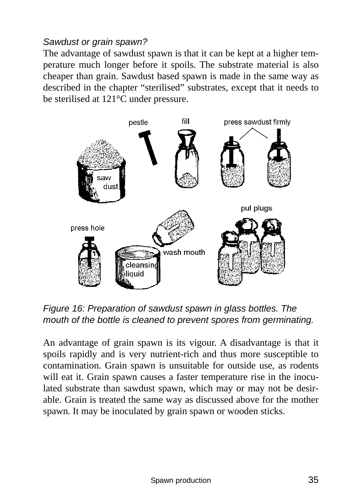#### *Sawdust or grain spawn?*

The advantage of sawdust spawn is that it can be kept at a higher temperature much longer before it spoils. The substrate material is also cheaper than grain. Sawdust based spawn is made in the same way as described in the chapter "sterilised" substrates, except that it needs to be sterilised at 121°C under pressure.



*Figure 16: Preparation of sawdust spawn in glass bottles. The mouth of the bottle is cleaned to prevent spores from germinating.* 

An advantage of grain spawn is its vigour. A disadvantage is that it spoils rapidly and is very nutrient-rich and thus more susceptible to contamination. Grain spawn is unsuitable for outside use, as rodents will eat it. Grain spawn causes a faster temperature rise in the inoculated substrate than sawdust spawn, which may or may not be desirable. Grain is treated the same way as discussed above for the mother spawn. It may be inoculated by grain spawn or wooden sticks.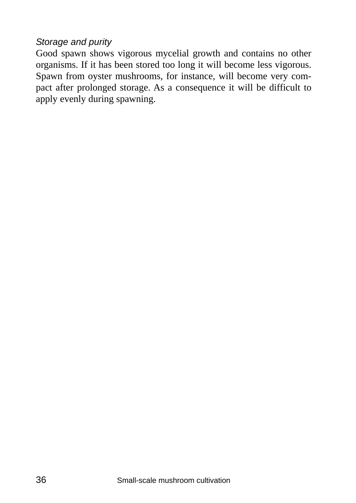#### *Storage and purity*

Good spawn shows vigorous mycelial growth and contains no other organisms. If it has been stored too long it will become less vigorous. Spawn from oyster mushrooms, for instance, will become very compact after prolonged storage. As a consequence it will be difficult to apply evenly during spawning.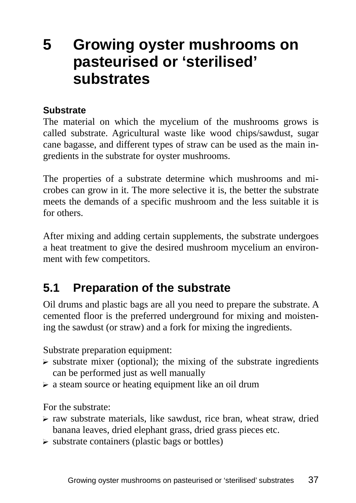# **5 Growing oyster mushrooms on pasteurised or 'sterilised' substrates**

#### **Substrate**

The material on which the mycelium of the mushrooms grows is called substrate. Agricultural waste like wood chips/sawdust, sugar cane bagasse, and different types of straw can be used as the main ingredients in the substrate for oyster mushrooms.

The properties of a substrate determine which mushrooms and microbes can grow in it. The more selective it is, the better the substrate meets the demands of a specific mushroom and the less suitable it is for others.

After mixing and adding certain supplements, the substrate undergoes a heat treatment to give the desired mushroom mycelium an environment with few competitors.

### **5.1 Preparation of the substrate**

Oil drums and plastic bags are all you need to prepare the substrate. A cemented floor is the preferred underground for mixing and moistening the sawdust (or straw) and a fork for mixing the ingredients.

Substrate preparation equipment:

- $\triangleright$  substrate mixer (optional); the mixing of the substrate ingredients can be performed just as well manually
- $\triangleright$  a steam source or heating equipment like an oil drum

For the substrate:

- $\triangleright$  raw substrate materials, like sawdust, rice bran, wheat straw, dried banana leaves, dried elephant grass, dried grass pieces etc.
- $\triangleright$  substrate containers (plastic bags or bottles)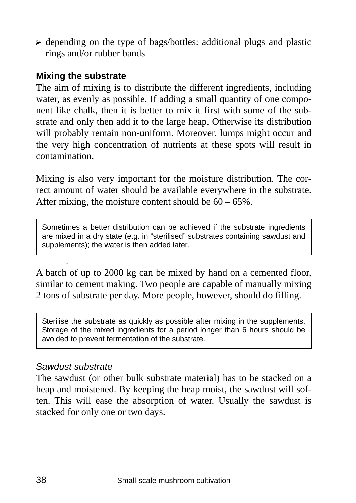$\triangleright$  depending on the type of bags/bottles: additional plugs and plastic rings and/or rubber bands

#### **Mixing the substrate**

The aim of mixing is to distribute the different ingredients, including water, as evenly as possible. If adding a small quantity of one component like chalk, then it is better to mix it first with some of the substrate and only then add it to the large heap. Otherwise its distribution will probably remain non-uniform. Moreover, lumps might occur and the very high concentration of nutrients at these spots will result in contamination.

Mixing is also very important for the moisture distribution. The correct amount of water should be available everywhere in the substrate. After mixing, the moisture content should be  $60 - 65\%$ .

Sometimes a better distribution can be achieved if the substrate ingredients are mixed in a dry state (e.g. in "sterilised" substrates containing sawdust and supplements); the water is then added later.

A batch of up to 2000 kg can be mixed by hand on a cemented floor, similar to cement making. Two people are capable of manually mixing 2 tons of substrate per day. More people, however, should do filling.

Sterilise the substrate as quickly as possible after mixing in the supplements. Storage of the mixed ingredients for a period longer than 6 hours should be avoided to prevent fermentation of the substrate.

#### *Sawdust substrate*

.

The sawdust (or other bulk substrate material) has to be stacked on a heap and moistened. By keeping the heap moist, the sawdust will soften. This will ease the absorption of water. Usually the sawdust is stacked for only one or two days.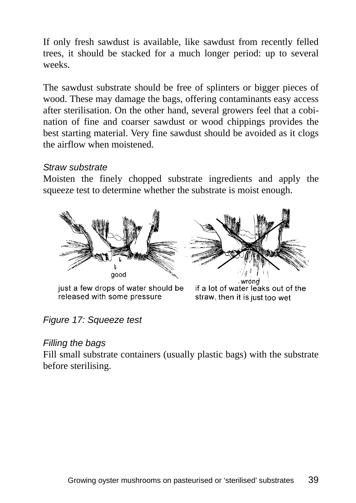If only fresh sawdust is available, like sawdust from recently felled trees, it should be stacked for a much longer period: up to several weeks.

The sawdust substrate should be free of splinters or bigger pieces of wood. These may damage the bags, offering contaminants easy access after sterilisation. On the other hand, several growers feel that a cobination of fine and coarser sawdust or wood chippings provides the best starting material. Very fine sawdust should be avoided as it clogs the airflow when moistened.

#### *Straw substrate*

Moisten the finely chopped substrate ingredients and apply the squeeze test to determine whether the substrate is moist enough.



just a few drops of water should be released with some pressure



if a lot of water leaks out of the straw, then it is just too wet

#### *Figure 17: Squeeze test*

#### *Filling the bags*

Fill small substrate containers (usually plastic bags) with the substrate before sterilising.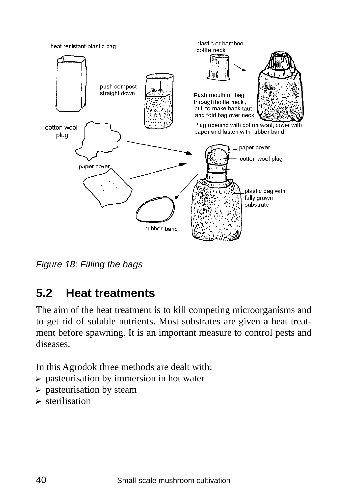

*Figure 18: Filling the bags* 

# **5.2 Heat treatments**

The aim of the heat treatment is to kill competing microorganisms and to get rid of soluble nutrients. Most substrates are given a heat treatment before spawning. It is an important measure to control pests and diseases.

In this Agrodok three methods are dealt with:

- $\triangleright$  pasteurisation by immersion in hot water
- $\triangleright$  pasteurisation by steam
- $\triangleright$  sterilisation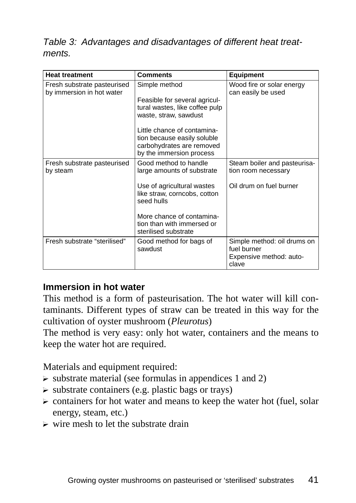#### *Table 3: Advantages and disadvantages of different heat treatments.*

| <b>Heat treatment</b>                                    | <b>Comments</b>                                                                                                                                                                                                                  | <b>Equipment</b>                                                               |
|----------------------------------------------------------|----------------------------------------------------------------------------------------------------------------------------------------------------------------------------------------------------------------------------------|--------------------------------------------------------------------------------|
| Fresh substrate pasteurised<br>by immersion in hot water | Simple method<br>Feasible for several agricul-<br>tural wastes, like coffee pulp<br>waste, straw, sawdust<br>Little chance of contamina-<br>tion because easily soluble<br>carbohydrates are removed<br>by the immersion process | Wood fire or solar energy<br>can easily be used                                |
| Fresh substrate pasteurised<br>by steam                  | Good method to handle<br>large amounts of substrate<br>Use of agricultural wastes<br>like straw, corncobs, cotton<br>seed hulls<br>More chance of contamina-<br>tion than with immersed or<br>sterilised substrate               | Steam boiler and pasteurisa-<br>tion room necessary<br>Oil drum on fuel burner |
| Fresh substrate "sterilised"                             | Good method for bags of<br>sawdust                                                                                                                                                                                               | Simple method: oil drums on<br>fuel burner<br>Expensive method: auto-<br>clave |

#### **Immersion in hot water**

This method is a form of pasteurisation. The hot water will kill contaminants. Different types of straw can be treated in this way for the cultivation of oyster mushroom (*Pleurotus*)

The method is very easy: only hot water, containers and the means to keep the water hot are required.

Materials and equipment required:

- $\triangleright$  substrate material (see formulas in appendices 1 and 2)
- $\triangleright$  substrate containers (e.g. plastic bags or trays)
- $\triangleright$  containers for hot water and means to keep the water hot (fuel, solar energy, steam, etc.)
- $\triangleright$  wire mesh to let the substrate drain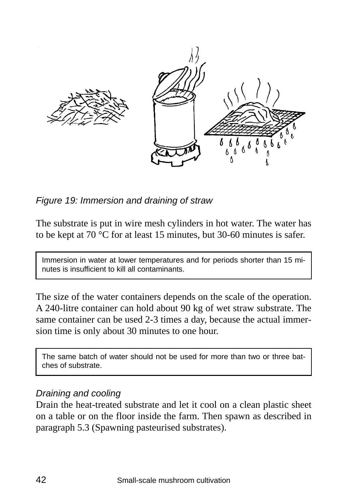

*Figure 19: Immersion and draining of straw* 

The substrate is put in wire mesh cylinders in hot water. The water has to be kept at 70 °C for at least 15 minutes, but 30-60 minutes is safer.

Immersion in water at lower temperatures and for periods shorter than 15 minutes is insufficient to kill all contaminants.

The size of the water containers depends on the scale of the operation. A 240-litre container can hold about 90 kg of wet straw substrate. The same container can be used 2-3 times a day, because the actual immersion time is only about 30 minutes to one hour.

The same batch of water should not be used for more than two or three batches of substrate.

#### *Draining and cooling*

Drain the heat-treated substrate and let it cool on a clean plastic sheet on a table or on the floor inside the farm. Then spawn as described in paragraph 5.3 (Spawning pasteurised substrates).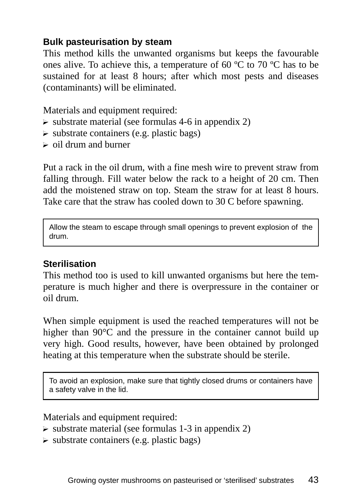#### **Bulk pasteurisation by steam**

This method kills the unwanted organisms but keeps the favourable ones alive. To achieve this, a temperature of 60 ºC to 70 ºC has to be sustained for at least 8 hours; after which most pests and diseases (contaminants) will be eliminated.

Materials and equipment required:

- $\triangleright$  substrate material (see formulas 4-6 in appendix 2)
- $\triangleright$  substrate containers (e.g. plastic bags)
- $\geq$  oil drum and burner

Put a rack in the oil drum, with a fine mesh wire to prevent straw from falling through. Fill water below the rack to a height of 20 cm. Then add the moistened straw on top. Steam the straw for at least 8 hours. Take care that the straw has cooled down to 30 C before spawning.

Allow the steam to escape through small openings to prevent explosion of the drum.

#### **Sterilisation**

This method too is used to kill unwanted organisms but here the temperature is much higher and there is overpressure in the container or oil drum.

When simple equipment is used the reached temperatures will not be higher than 90°C and the pressure in the container cannot build up very high. Good results, however, have been obtained by prolonged heating at this temperature when the substrate should be sterile.

To avoid an explosion, make sure that tightly closed drums or containers have a safety valve in the lid.

Materials and equipment required:

- $\triangleright$  substrate material (see formulas 1-3 in appendix 2)
- $\triangleright$  substrate containers (e.g. plastic bags)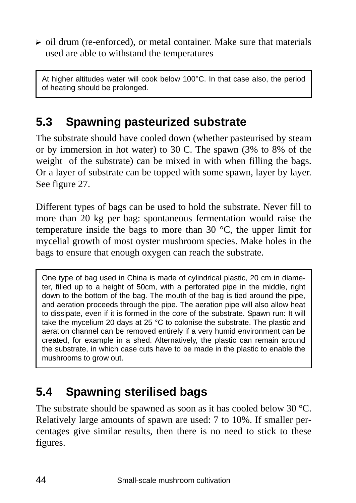$\triangleright$  oil drum (re-enforced), or metal container. Make sure that materials used are able to withstand the temperatures

At higher altitudes water will cook below 100°C. In that case also, the period of heating should be prolonged.

## **5.3 Spawning pasteurized substrate**

The substrate should have cooled down (whether pasteurised by steam or by immersion in hot water) to 30 C. The spawn (3% to 8% of the weight of the substrate) can be mixed in with when filling the bags. Or a layer of substrate can be topped with some spawn, layer by layer. See figure 27.

Different types of bags can be used to hold the substrate. Never fill to more than 20 kg per bag: spontaneous fermentation would raise the temperature inside the bags to more than 30 °C, the upper limit for mycelial growth of most oyster mushroom species. Make holes in the bags to ensure that enough oxygen can reach the substrate.

One type of bag used in China is made of cylindrical plastic, 20 cm in diameter, filled up to a height of 50cm, with a perforated pipe in the middle, right down to the bottom of the bag. The mouth of the bag is tied around the pipe, and aeration proceeds through the pipe. The aeration pipe will also allow heat to dissipate, even if it is formed in the core of the substrate. Spawn run: It will take the mycelium 20 days at 25 °C to colonise the substrate. The plastic and aeration channel can be removed entirely if a very humid environment can be created, for example in a shed. Alternatively, the plastic can remain around the substrate, in which case cuts have to be made in the plastic to enable the mushrooms to grow out.

# **5.4 Spawning sterilised bags**

The substrate should be spawned as soon as it has cooled below 30 °C. Relatively large amounts of spawn are used: 7 to 10%. If smaller percentages give similar results, then there is no need to stick to these figures.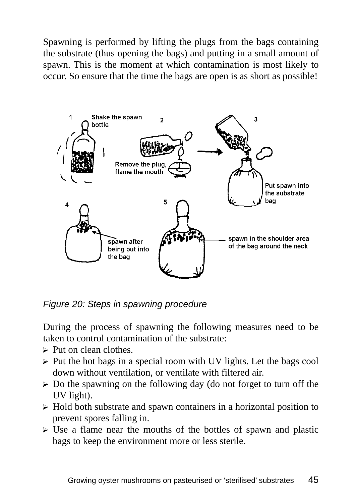Spawning is performed by lifting the plugs from the bags containing the substrate (thus opening the bags) and putting in a small amount of spawn. This is the moment at which contamination is most likely to occur. So ensure that the time the bags are open is as short as possible!



*Figure 20: Steps in spawning procedure* 

During the process of spawning the following measures need to be taken to control contamination of the substrate:

- $\triangleright$  Put on clean clothes.
- $\triangleright$  Put the hot bags in a special room with UV lights. Let the bags cool down without ventilation, or ventilate with filtered air.
- $\triangleright$  Do the spawning on the following day (do not forget to turn off the UV light).
- $\triangleright$  Hold both substrate and spawn containers in a horizontal position to prevent spores falling in.
- $\triangleright$  Use a flame near the mouths of the bottles of spawn and plastic bags to keep the environment more or less sterile.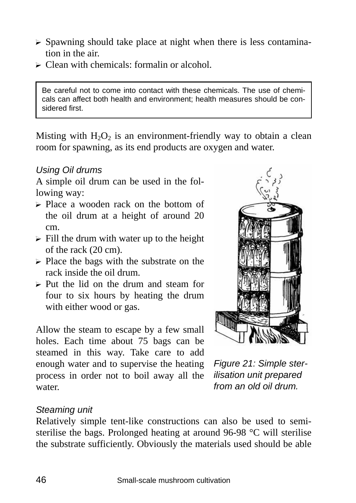- $\triangleright$  Spawning should take place at night when there is less contamination in the air.
- $\triangleright$  Clean with chemicals: formalin or alcohol.

Be careful not to come into contact with these chemicals. The use of chemicals can affect both health and environment; health measures should be considered first.

Misting with  $H_2O_2$  is an environment-friendly way to obtain a clean room for spawning, as its end products are oxygen and water.

#### *Using Oil drums*

A simple oil drum can be used in the following way:

- ? Place a wooden rack on the bottom of the oil drum at a height of around 20 cm.
- $\triangleright$  Fill the drum with water up to the height of the rack (20 cm).
- $\triangleright$  Place the bags with the substrate on the rack inside the oil drum.
- $\triangleright$  Put the lid on the drum and steam for four to six hours by heating the drum with either wood or gas.

Allow the steam to escape by a few small holes. Each time about 75 bags can be steamed in this way. Take care to add enough water and to supervise the heating process in order not to boil away all the water.



*Figure 21: Simple sterilisation unit prepared from an old oil drum.* 

#### *Steaming unit*

Relatively simple tent-like constructions can also be used to semisterilise the bags. Prolonged heating at around 96-98 °C will sterilise the substrate sufficiently. Obviously the materials used should be able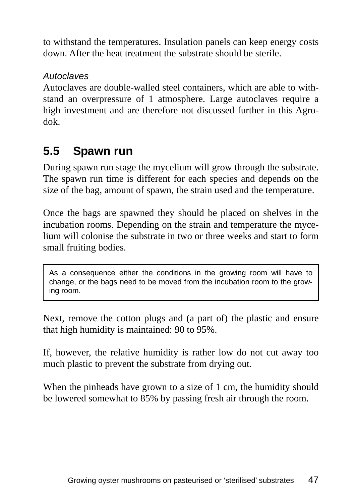to withstand the temperatures. Insulation panels can keep energy costs down. After the heat treatment the substrate should be sterile.

#### *Autoclaves*

Autoclaves are double-walled steel containers, which are able to withstand an overpressure of 1 atmosphere. Large autoclaves require a high investment and are therefore not discussed further in this Agrodok.

## **5.5 Spawn run**

During spawn run stage the mycelium will grow through the substrate. The spawn run time is different for each species and depends on the size of the bag, amount of spawn, the strain used and the temperature.

Once the bags are spawned they should be placed on shelves in the incubation rooms. Depending on the strain and temperature the mycelium will colonise the substrate in two or three weeks and start to form small fruiting bodies.

As a consequence either the conditions in the growing room will have to change, or the bags need to be moved from the incubation room to the growing room.

Next, remove the cotton plugs and (a part of) the plastic and ensure that high humidity is maintained: 90 to 95%.

If, however, the relative humidity is rather low do not cut away too much plastic to prevent the substrate from drying out.

When the pinheads have grown to a size of 1 cm, the humidity should be lowered somewhat to 85% by passing fresh air through the room.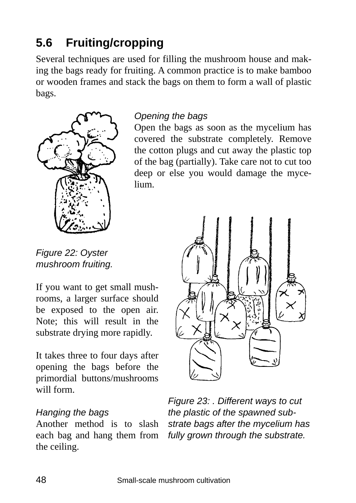# **5.6 Fruiting/cropping**

Several techniques are used for filling the mushroom house and making the bags ready for fruiting. A common practice is to make bamboo or wooden frames and stack the bags on them to form a wall of plastic bags.



*Opening the bags* 

Open the bags as soon as the mycelium has covered the substrate completely. Remove the cotton plugs and cut away the plastic top of the bag (partially). Take care not to cut too deep or else you would damage the mycelium.

*Figure 22: Oyster mushroom fruiting.* 

If you want to get small mushrooms, a larger surface should be exposed to the open air. Note; this will result in the substrate drying more rapidly.

It takes three to four days after opening the bags before the primordial buttons/mushrooms will form.

#### *Hanging the bags*

Another method is to slash each bag and hang them from the ceiling.



*Figure 23: . Different ways to cut the plastic of the spawned substrate bags after the mycelium has fully grown through the substrate.*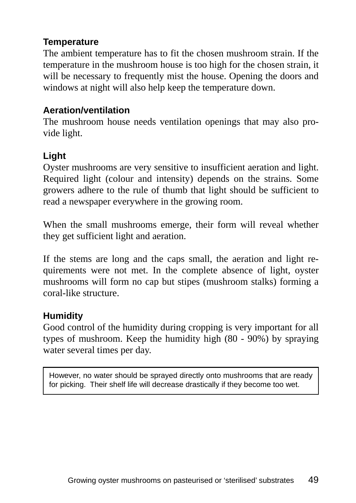#### **Temperature**

The ambient temperature has to fit the chosen mushroom strain. If the temperature in the mushroom house is too high for the chosen strain, it will be necessary to frequently mist the house. Opening the doors and windows at night will also help keep the temperature down.

#### **Aeration/ventilation**

The mushroom house needs ventilation openings that may also provide light.

#### **Light**

Oyster mushrooms are very sensitive to insufficient aeration and light. Required light (colour and intensity) depends on the strains. Some growers adhere to the rule of thumb that light should be sufficient to read a newspaper everywhere in the growing room.

When the small mushrooms emerge, their form will reveal whether they get sufficient light and aeration.

If the stems are long and the caps small, the aeration and light requirements were not met. In the complete absence of light, oyster mushrooms will form no cap but stipes (mushroom stalks) forming a coral-like structure.

#### **Humidity**

Good control of the humidity during cropping is very important for all types of mushroom. Keep the humidity high (80 - 90%) by spraying water several times per day.

However, no water should be sprayed directly onto mushrooms that are ready for picking. Their shelf life will decrease drastically if they become too wet.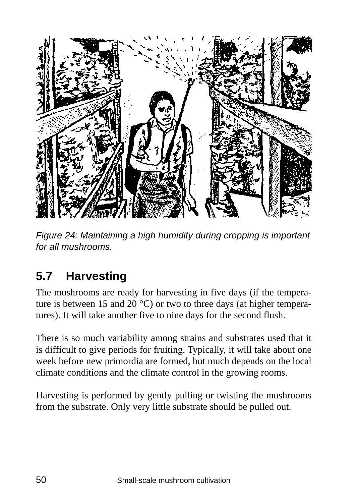

*Figure 24: Maintaining a high humidity during cropping is important for all mushrooms.* 

# **5.7 Harvesting**

The mushrooms are ready for harvesting in five days (if the temperature is between 15 and 20  $^{\circ}$ C) or two to three days (at higher temperatures). It will take another five to nine days for the second flush.

There is so much variability among strains and substrates used that it is difficult to give periods for fruiting. Typically, it will take about one week before new primordia are formed, but much depends on the local climate conditions and the climate control in the growing rooms.

Harvesting is performed by gently pulling or twisting the mushrooms from the substrate. Only very little substrate should be pulled out.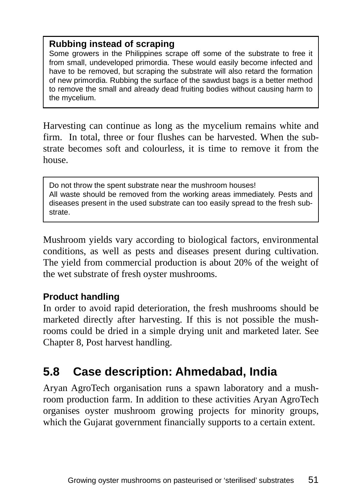#### **Rubbing instead of scraping**

Some growers in the Philippines scrape off some of the substrate to free it from small, undeveloped primordia. These would easily become infected and have to be removed, but scraping the substrate will also retard the formation of new primordia. Rubbing the surface of the sawdust bags is a better method to remove the small and already dead fruiting bodies without causing harm to the mycelium.

Harvesting can continue as long as the mycelium remains white and firm. In total, three or four flushes can be harvested. When the substrate becomes soft and colourless, it is time to remove it from the house.

Do not throw the spent substrate near the mushroom houses! All waste should be removed from the working areas immediately. Pests and diseases present in the used substrate can too easily spread to the fresh substrate.

Mushroom yields vary according to biological factors, environmental conditions, as well as pests and diseases present during cultivation. The yield from commercial production is about 20% of the weight of the wet substrate of fresh oyster mushrooms.

#### **Product handling**

In order to avoid rapid deterioration, the fresh mushrooms should be marketed directly after harvesting. If this is not possible the mushrooms could be dried in a simple drying unit and marketed later. See Chapter 8, Post harvest handling.

### **5.8 Case description: Ahmedabad, India**

Aryan AgroTech organisation runs a spawn laboratory and a mushroom production farm. In addition to these activities Aryan AgroTech organises oyster mushroom growing projects for minority groups, which the Gujarat government financially supports to a certain extent.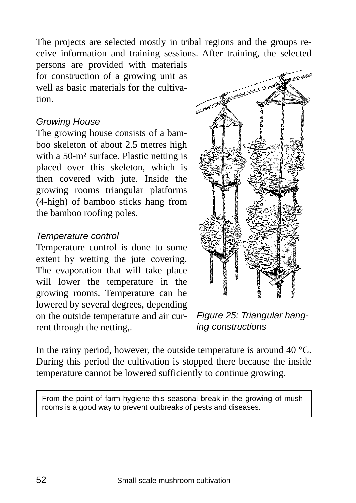The projects are selected mostly in tribal regions and the groups receive information and training sessions. After training, the selected

persons are provided with materials for construction of a growing unit as well as basic materials for the cultivation.

#### *Growing House*

The growing house consists of a bamboo skeleton of about 2.5 metres high with a 50-m² surface. Plastic netting is placed over this skeleton, which is then covered with jute. Inside the growing rooms triangular platforms (4-high) of bamboo sticks hang from the bamboo roofing poles.

#### *Temperature control*

Temperature control is done to some extent by wetting the jute covering. The evaporation that will take place will lower the temperature in the growing rooms. Temperature can be lowered by several degrees, depending on the outside temperature and air current through the netting,.



*Figure 25: Triangular hanging constructions* 

In the rainy period, however, the outside temperature is around 40  $^{\circ}$ C. During this period the cultivation is stopped there because the inside temperature cannot be lowered sufficiently to continue growing.

From the point of farm hygiene this seasonal break in the growing of mushrooms is a good way to prevent outbreaks of pests and diseases.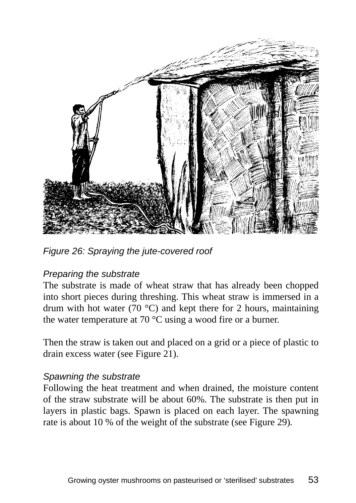

*Figure 26: Spraying the jute-covered roof* 

#### *Preparing the substrate*

The substrate is made of wheat straw that has already been chopped into short pieces during threshing. This wheat straw is immersed in a drum with hot water (70  $^{\circ}$ C) and kept there for 2 hours, maintaining the water temperature at 70 °C using a wood fire or a burner.

Then the straw is taken out and placed on a grid or a piece of plastic to drain excess water (see Figure 21).

#### *Spawning the substrate*

Following the heat treatment and when drained, the moisture content of the straw substrate will be about 60%. The substrate is then put in layers in plastic bags. Spawn is placed on each layer. The spawning rate is about 10 % of the weight of the substrate (see Figure 29)*.*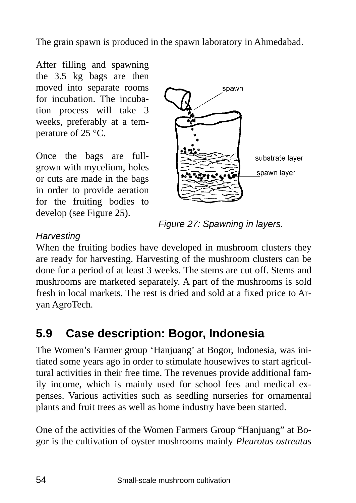The grain spawn is produced in the spawn laboratory in Ahmedabad.

After filling and spawning the 3.5 kg bags are then moved into separate rooms for incubation. The incubation process will take 3 weeks, preferably at a temperature of 25 °C.

Once the bags are fullgrown with mycelium, holes or cuts are made in the bags in order to provide aeration for the fruiting bodies to develop (see Figure 25).



*Figure 27: Spawning in layers.* 

#### *Harvesting*

When the fruiting bodies have developed in mushroom clusters they are ready for harvesting. Harvesting of the mushroom clusters can be done for a period of at least 3 weeks. The stems are cut off. Stems and mushrooms are marketed separately. A part of the mushrooms is sold fresh in local markets. The rest is dried and sold at a fixed price to Aryan AgroTech.

# **5.9 Case description: Bogor, Indonesia**

The Women's Farmer group 'Hanjuang' at Bogor, Indonesia, was initiated some years ago in order to stimulate housewives to start agricultural activities in their free time. The revenues provide additional family income, which is mainly used for school fees and medical expenses. Various activities such as seedling nurseries for ornamental plants and fruit trees as well as home industry have been started.

One of the activities of the Women Farmers Group "Hanjuang" at Bogor is the cultivation of oyster mushrooms mainly *Pleurotus ostreatus*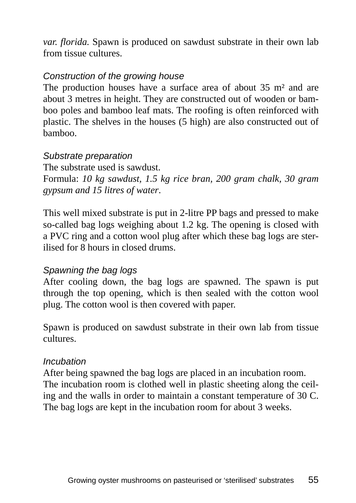*var. florida.* Spawn is produced on sawdust substrate in their own lab from tissue cultures.

#### *Construction of the growing house*

The production houses have a surface area of about 35 m² and are about 3 metres in height. They are constructed out of wooden or bamboo poles and bamboo leaf mats. The roofing is often reinforced with plastic. The shelves in the houses (5 high) are also constructed out of bamboo.

#### *Substrate preparation*

The substrate used is sawdust. Formula: *10 kg sawdust, 1.5 kg rice bran, 200 gram chalk, 30 gram gypsum and 15 litres of water*.

This well mixed substrate is put in 2-litre PP bags and pressed to make so-called bag logs weighing about 1.2 kg. The opening is closed with a PVC ring and a cotton wool plug after which these bag logs are sterilised for 8 hours in closed drums.

#### *Spawning the bag logs*

After cooling down, the bag logs are spawned. The spawn is put through the top opening, which is then sealed with the cotton wool plug. The cotton wool is then covered with paper.

Spawn is produced on sawdust substrate in their own lab from tissue cultures.

#### *Incubation*

After being spawned the bag logs are placed in an incubation room. The incubation room is clothed well in plastic sheeting along the ceiling and the walls in order to maintain a constant temperature of 30 C. The bag logs are kept in the incubation room for about 3 weeks.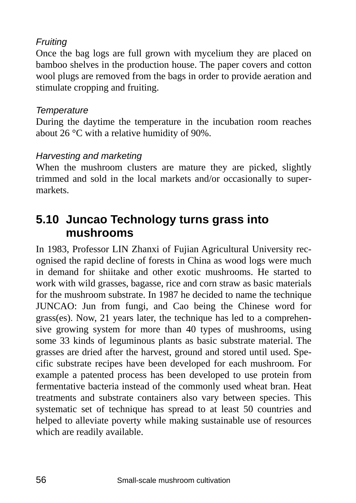#### *Fruiting*

Once the bag logs are full grown with mycelium they are placed on bamboo shelves in the production house. The paper covers and cotton wool plugs are removed from the bags in order to provide aeration and stimulate cropping and fruiting.

#### *Temperature*

During the daytime the temperature in the incubation room reaches about 26 °C with a relative humidity of 90%.

#### *Harvesting and marketing*

When the mushroom clusters are mature they are picked, slightly trimmed and sold in the local markets and/or occasionally to supermarkets.

### **5.10 Juncao Technology turns grass into mushrooms**

In 1983, Professor LIN Zhanxi of Fujian Agricultural University recognised the rapid decline of forests in China as wood logs were much in demand for shiitake and other exotic mushrooms. He started to work with wild grasses, bagasse, rice and corn straw as basic materials for the mushroom substrate. In 1987 he decided to name the technique JUNCAO: Jun from fungi, and Cao being the Chinese word for grass(es). Now, 21 years later, the technique has led to a comprehensive growing system for more than 40 types of mushrooms, using some 33 kinds of leguminous plants as basic substrate material. The grasses are dried after the harvest, ground and stored until used. Specific substrate recipes have been developed for each mushroom. For example a patented process has been developed to use protein from fermentative bacteria instead of the commonly used wheat bran. Heat treatments and substrate containers also vary between species. This systematic set of technique has spread to at least 50 countries and helped to alleviate poverty while making sustainable use of resources which are readily available.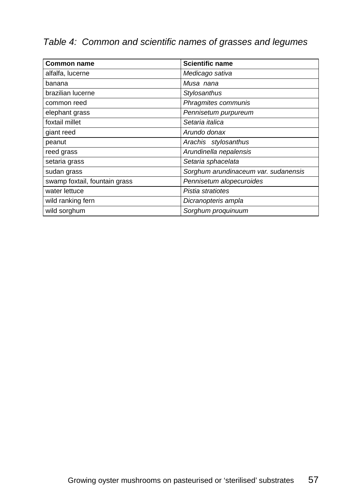#### *Table 4: Common and scientific names of grasses and legumes*

| <b>Common name</b>            | <b>Scientific name</b>               |
|-------------------------------|--------------------------------------|
| alfalfa, lucerne              | Medicago sativa                      |
| banana                        | Musa nana                            |
| brazilian lucerne             | Stylosanthus                         |
| common reed                   | Phragmites communis                  |
| elephant grass                | Pennisetum purpureum                 |
| foxtail millet                | Setaria italica                      |
| giant reed                    | Arundo donax                         |
| peanut                        | Arachis stylosanthus                 |
| reed grass                    | Arundinella nepalensis               |
| setaria grass                 | Setaria sphacelata                   |
| sudan grass                   | Sorghum arundinaceum var. sudanensis |
| swamp foxtail, fountain grass | Pennisetum alopecuroides             |
| water lettuce                 | Pistia stratiotes                    |
| wild ranking fern             | Dicranopteris ampla                  |
| wild sorghum                  | Sorghum proquinuum                   |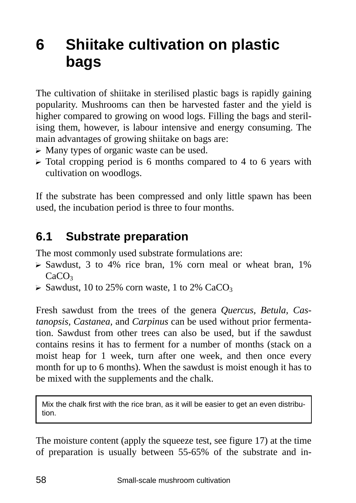# **6 Shiitake cultivation on plastic bags**

The cultivation of shiitake in sterilised plastic bags is rapidly gaining popularity. Mushrooms can then be harvested faster and the yield is higher compared to growing on wood logs. Filling the bags and sterilising them, however, is labour intensive and energy consuming. The main advantages of growing shiitake on bags are:

- $\triangleright$  Many types of organic waste can be used.
- $\triangleright$  Total cropping period is 6 months compared to 4 to 6 years with cultivation on woodlogs.

If the substrate has been compressed and only little spawn has been used, the incubation period is three to four months.

### **6.1 Substrate preparation**

The most commonly used substrate formulations are:

- $\triangleright$  Sawdust, 3 to 4% rice bran, 1% corn meal or wheat bran, 1%  $CaCO<sub>3</sub>$
- $\triangleright$  Sawdust, 10 to 25% corn waste, 1 to 2% CaCO<sub>3</sub>

Fresh sawdust from the trees of the genera *Quercus, Betula, Castanopsis, Castanea,* and *Carpinus* can be used without prior fermentation. Sawdust from other trees can also be used, but if the sawdust contains resins it has to ferment for a number of months (stack on a moist heap for 1 week, turn after one week, and then once every month for up to 6 months). When the sawdust is moist enough it has to be mixed with the supplements and the chalk.

Mix the chalk first with the rice bran, as it will be easier to get an even distribution.

The moisture content (apply the squeeze test, see figure 17) at the time of preparation is usually between 55-65% of the substrate and in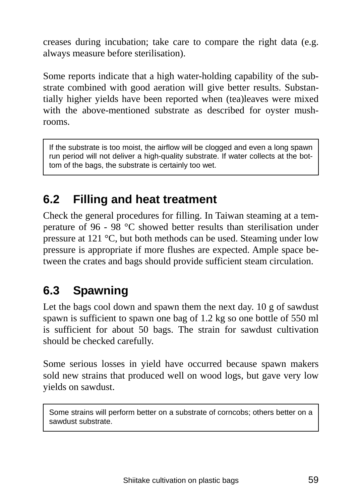creases during incubation; take care to compare the right data (e.g. always measure before sterilisation).

Some reports indicate that a high water-holding capability of the substrate combined with good aeration will give better results. Substantially higher yields have been reported when (tea)leaves were mixed with the above-mentioned substrate as described for oyster mushrooms.

If the substrate is too moist, the airflow will be clogged and even a long spawn run period will not deliver a high-quality substrate. If water collects at the bottom of the bags, the substrate is certainly too wet.

## **6.2 Filling and heat treatment**

Check the general procedures for filling. In Taiwan steaming at a temperature of 96 - 98 °C showed better results than sterilisation under pressure at 121 °C, but both methods can be used. Steaming under low pressure is appropriate if more flushes are expected. Ample space between the crates and bags should provide sufficient steam circulation.

# **6.3 Spawning**

Let the bags cool down and spawn them the next day. 10 g of sawdust spawn is sufficient to spawn one bag of 1.2 kg so one bottle of 550 ml is sufficient for about 50 bags. The strain for sawdust cultivation should be checked carefully.

Some serious losses in yield have occurred because spawn makers sold new strains that produced well on wood logs, but gave very low yields on sawdust.

Some strains will perform better on a substrate of corncobs; others better on a sawdust substrate.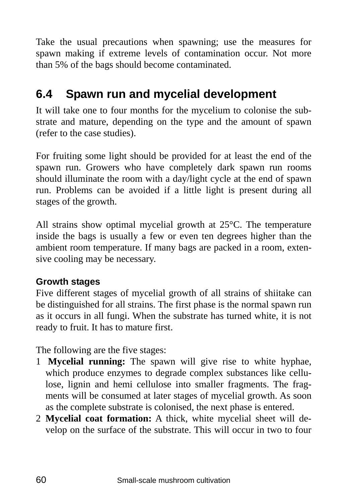Take the usual precautions when spawning; use the measures for spawn making if extreme levels of contamination occur. Not more than 5% of the bags should become contaminated.

### **6.4 Spawn run and mycelial development**

It will take one to four months for the mycelium to colonise the substrate and mature, depending on the type and the amount of spawn (refer to the case studies).

For fruiting some light should be provided for at least the end of the spawn run. Growers who have completely dark spawn run rooms should illuminate the room with a day/light cycle at the end of spawn run. Problems can be avoided if a little light is present during all stages of the growth.

All strains show optimal mycelial growth at 25°C. The temperature inside the bags is usually a few or even ten degrees higher than the ambient room temperature. If many bags are packed in a room, extensive cooling may be necessary.

#### **Growth stages**

Five different stages of mycelial growth of all strains of shiitake can be distinguished for all strains. The first phase is the normal spawn run as it occurs in all fungi. When the substrate has turned white, it is not ready to fruit. It has to mature first.

The following are the five stages:

- 1 **Mycelial running:** The spawn will give rise to white hyphae, which produce enzymes to degrade complex substances like cellulose, lignin and hemi cellulose into smaller fragments. The fragments will be consumed at later stages of mycelial growth. As soon as the complete substrate is colonised, the next phase is entered.
- 2 **Mycelial coat formation:** A thick, white mycelial sheet will develop on the surface of the substrate. This will occur in two to four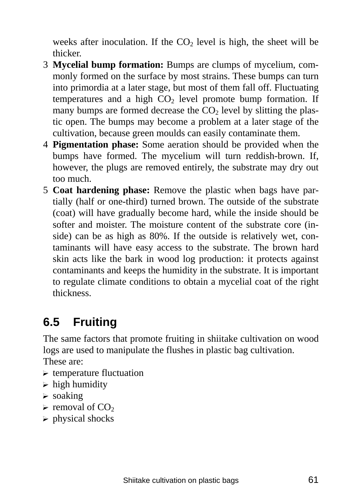weeks after inoculation. If the  $CO<sub>2</sub>$  level is high, the sheet will be thicker.

- 3 **Mycelial bump formation:** Bumps are clumps of mycelium, commonly formed on the surface by most strains. These bumps can turn into primordia at a later stage, but most of them fall off. Fluctuating temperatures and a high  $CO<sub>2</sub>$  level promote bump formation. If many bumps are formed decrease the  $CO<sub>2</sub>$  level by slitting the plastic open. The bumps may become a problem at a later stage of the cultivation, because green moulds can easily contaminate them.
- 4 **Pigmentation phase:** Some aeration should be provided when the bumps have formed. The mycelium will turn reddish-brown. If, however, the plugs are removed entirely, the substrate may dry out too much.
- 5 **Coat hardening phase:** Remove the plastic when bags have partially (half or one-third) turned brown. The outside of the substrate (coat) will have gradually become hard, while the inside should be softer and moister. The moisture content of the substrate core (inside) can be as high as 80%. If the outside is relatively wet, contaminants will have easy access to the substrate. The brown hard skin acts like the bark in wood log production: it protects against contaminants and keeps the humidity in the substrate. It is important to regulate climate conditions to obtain a mycelial coat of the right thickness.

# **6.5 Fruiting**

The same factors that promote fruiting in shiitake cultivation on wood logs are used to manipulate the flushes in plastic bag cultivation. These are:

- $\triangleright$  temperature fluctuation
- $\triangleright$  high humidity
- $\triangleright$  soaking
- $\triangleright$  removal of CO<sub>2</sub>
- $\triangleright$  physical shocks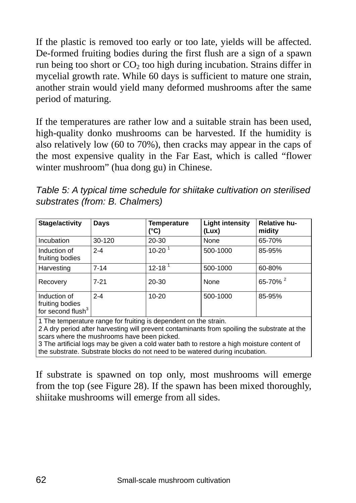If the plastic is removed too early or too late, yields will be affected. De-formed fruiting bodies during the first flush are a sign of a spawn run being too short or  $CO<sub>2</sub>$  too high during incubation. Strains differ in mycelial growth rate. While 60 days is sufficient to mature one strain, another strain would yield many deformed mushrooms after the same period of maturing.

If the temperatures are rather low and a suitable strain has been used, high-quality donko mushrooms can be harvested. If the humidity is also relatively low (60 to 70%), then cracks may appear in the caps of the most expensive quality in the Far East, which is called "flower winter mushroom" (hua dong gu) in Chinese.

| Table 5: A typical time schedule for shiitake cultivation on sterilised |  |
|-------------------------------------------------------------------------|--|
| substrates (from: B. Chalmers)                                          |  |

| Stage/activity                                                   | Days     | Temperature<br>(°C)    | <b>Light intensity</b><br>(Lux) | Relative hu-<br>midity |
|------------------------------------------------------------------|----------|------------------------|---------------------------------|------------------------|
| Incubation                                                       | 30-120   | $20 - 30$              | None                            | 65-70%                 |
| Induction of<br>fruiting bodies                                  | $2 - 4$  | $10 - 20$              | 500-1000                        | 85-95%                 |
| Harvesting                                                       | $7 - 14$ | $12 - 18$ <sup>1</sup> | 500-1000                        | 60-80%                 |
| Recovery                                                         | $7 - 21$ | $20 - 30$              | None                            | 65-70% <sup>2</sup>    |
| Induction of<br>fruiting bodies<br>for second flush <sup>3</sup> | $2 - 4$  | $10 - 20$              | 500-1000                        | 85-95%                 |

1 The temperature range for fruiting is dependent on the strain.

2 A dry period after harvesting will prevent contaminants from spoiling the substrate at the scars where the mushrooms have been picked.

3 The artificial logs may be given a cold water bath to restore a high moisture content of the substrate. Substrate blocks do not need to be watered during incubation.

If substrate is spawned on top only, most mushrooms will emerge from the top (see Figure 28). If the spawn has been mixed thoroughly, shiitake mushrooms will emerge from all sides.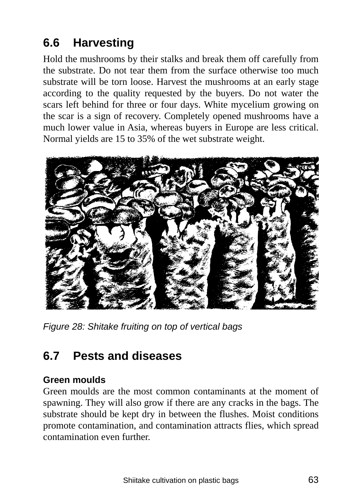# **6.6 Harvesting**

Hold the mushrooms by their stalks and break them off carefully from the substrate. Do not tear them from the surface otherwise too much substrate will be torn loose. Harvest the mushrooms at an early stage according to the quality requested by the buyers. Do not water the scars left behind for three or four days. White mycelium growing on the scar is a sign of recovery. Completely opened mushrooms have a much lower value in Asia, whereas buyers in Europe are less critical. Normal yields are 15 to 35% of the wet substrate weight.



*Figure 28: Shitake fruiting on top of vertical bags* 

### **6.7 Pests and diseases**

#### **Green moulds**

Green moulds are the most common contaminants at the moment of spawning. They will also grow if there are any cracks in the bags. The substrate should be kept dry in between the flushes. Moist conditions promote contamination, and contamination attracts flies, which spread contamination even further.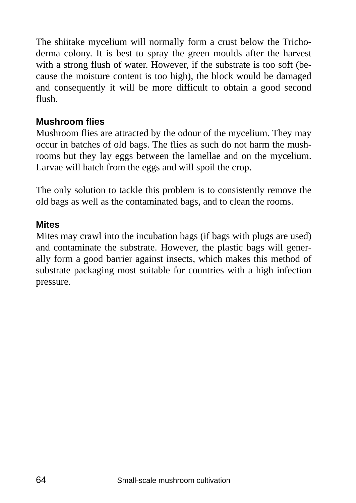The shiitake mycelium will normally form a crust below the Trichoderma colony. It is best to spray the green moulds after the harvest with a strong flush of water. However, if the substrate is too soft (because the moisture content is too high), the block would be damaged and consequently it will be more difficult to obtain a good second flush.

#### **Mushroom flies**

Mushroom flies are attracted by the odour of the mycelium. They may occur in batches of old bags. The flies as such do not harm the mushrooms but they lay eggs between the lamellae and on the mycelium. Larvae will hatch from the eggs and will spoil the crop.

The only solution to tackle this problem is to consistently remove the old bags as well as the contaminated bags, and to clean the rooms.

#### **Mites**

Mites may crawl into the incubation bags (if bags with plugs are used) and contaminate the substrate. However, the plastic bags will generally form a good barrier against insects, which makes this method of substrate packaging most suitable for countries with a high infection pressure.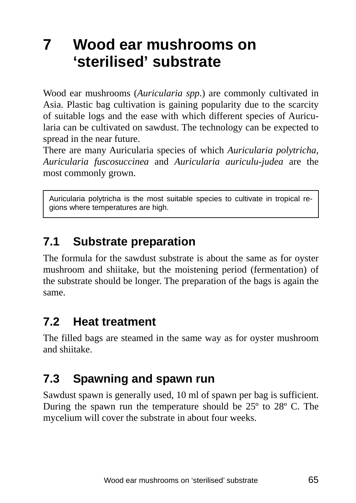# **7 Wood ear mushrooms on 'sterilised' substrate**

Wood ear mushrooms (*Auricularia spp*.) are commonly cultivated in Asia. Plastic bag cultivation is gaining popularity due to the scarcity of suitable logs and the ease with which different species of Auricularia can be cultivated on sawdust. The technology can be expected to spread in the near future.

There are many Auricularia species of which *Auricularia polytricha*, *Auricularia fuscosuccinea* and *Auricularia auriculu-judea* are the most commonly grown.

Auricularia polytricha is the most suitable species to cultivate in tropical regions where temperatures are high.

# **7.1 Substrate preparation**

The formula for the sawdust substrate is about the same as for oyster mushroom and shiitake, but the moistening period (fermentation) of the substrate should be longer. The preparation of the bags is again the same.

### **7.2 Heat treatment**

The filled bags are steamed in the same way as for oyster mushroom and shiitake.

# **7.3 Spawning and spawn run**

Sawdust spawn is generally used, 10 ml of spawn per bag is sufficient. During the spawn run the temperature should be 25º to 28º C. The mycelium will cover the substrate in about four weeks.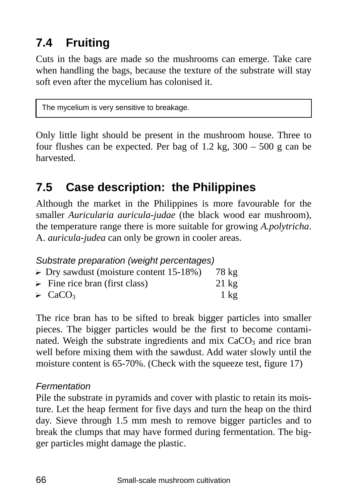# **7.4 Fruiting**

Cuts in the bags are made so the mushrooms can emerge. Take care when handling the bags, because the texture of the substrate will stay soft even after the mycelium has colonised it.

The mycelium is very sensitive to breakage.

Only little light should be present in the mushroom house. Three to four flushes can be expected. Per bag of 1.2 kg, 300 – 500 g can be harvested.

## **7.5 Case description: the Philippines**

Although the market in the Philippines is more favourable for the smaller *Auricularia auricula-judae* (the black wood ear mushroom), the temperature range there is more suitable for growing *A.polytricha*. A. *auricula-judea* can only be grown in cooler areas.

| Substrate preparation (weight percentages)             |                 |
|--------------------------------------------------------|-----------------|
| $\triangleright$ Dry sawdust (moisture content 15-18%) | 78 kg           |
| $\triangleright$ Fine rice bran (first class)          | $21 \text{ kg}$ |
| $\triangleright$ CaCO <sub>3</sub>                     | $1 \text{ kg}$  |

The rice bran has to be sifted to break bigger particles into smaller pieces. The bigger particles would be the first to become contaminated. Weigh the substrate ingredients and mix  $CaCO<sub>3</sub>$  and rice bran well before mixing them with the sawdust. Add water slowly until the moisture content is 65-70%. (Check with the squeeze test, figure 17)

#### *Fermentation*

Pile the substrate in pyramids and cover with plastic to retain its moisture. Let the heap ferment for five days and turn the heap on the third day. Sieve through 1.5 mm mesh to remove bigger particles and to break the clumps that may have formed during fermentation. The bigger particles might damage the plastic.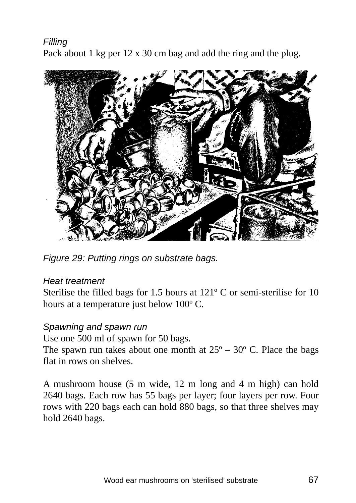*Filling*  Pack about 1 kg per 12 x 30 cm bag and add the ring and the plug.



*Figure 29: Putting rings on substrate bags.* 

#### *Heat treatment*

Sterilise the filled bags for 1.5 hours at 121º C or semi-sterilise for 10 hours at a temperature just below 100º C.

#### *Spawning and spawn run*

Use one 500 ml of spawn for 50 bags.

The spawn run takes about one month at  $25^{\circ} - 30^{\circ}$  C. Place the bags flat in rows on shelves.

A mushroom house (5 m wide, 12 m long and 4 m high) can hold 2640 bags. Each row has 55 bags per layer; four layers per row. Four rows with 220 bags each can hold 880 bags, so that three shelves may hold 2640 bags.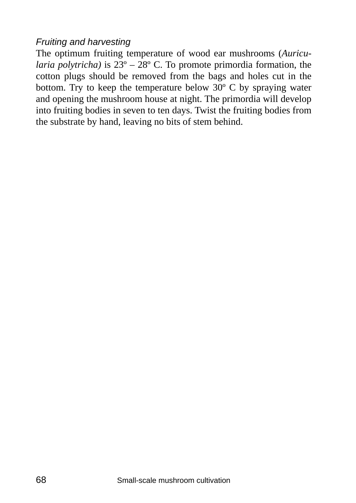#### *Fruiting and harvesting*

The optimum fruiting temperature of wood ear mushrooms (*Auricularia polytricha)* is 23º – 28º C. To promote primordia formation, the cotton plugs should be removed from the bags and holes cut in the bottom. Try to keep the temperature below 30º C by spraying water and opening the mushroom house at night. The primordia will develop into fruiting bodies in seven to ten days. Twist the fruiting bodies from the substrate by hand, leaving no bits of stem behind.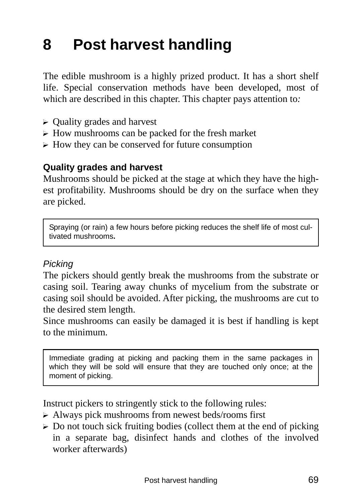# **8 Post harvest handling**

The edible mushroom is a highly prized product. It has a short shelf life. Special conservation methods have been developed, most of which are described in this chapter. This chapter pays attention to*:* 

- $\triangleright$  Quality grades and harvest
- $\triangleright$  How mushrooms can be packed for the fresh market
- $\triangleright$  How they can be conserved for future consumption

#### **Quality grades and harvest**

Mushrooms should be picked at the stage at which they have the highest profitability. Mushrooms should be dry on the surface when they are picked.

Spraying (or rain) a few hours before picking reduces the shelf life of most cultivated mushrooms**.** 

#### *Picking*

The pickers should gently break the mushrooms from the substrate or casing soil. Tearing away chunks of mycelium from the substrate or casing soil should be avoided. After picking, the mushrooms are cut to the desired stem length.

Since mushrooms can easily be damaged it is best if handling is kept to the minimum.

Immediate grading at picking and packing them in the same packages in which they will be sold will ensure that they are touched only once; at the moment of picking.

Instruct pickers to stringently stick to the following rules:

- $\triangleright$  Always pick mushrooms from newest beds/rooms first
- $\triangleright$  Do not touch sick fruiting bodies (collect them at the end of picking in a separate bag, disinfect hands and clothes of the involved worker afterwards)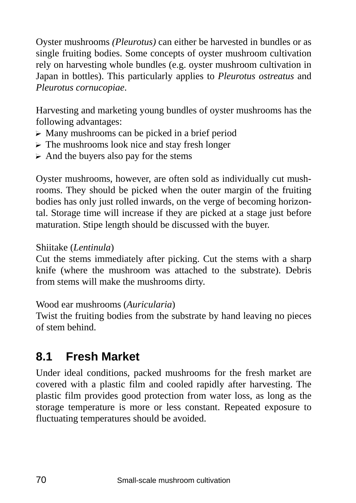Oyster mushrooms *(Pleurotus)* can either be harvested in bundles or as single fruiting bodies. Some concepts of oyster mushroom cultivation rely on harvesting whole bundles (e.g. oyster mushroom cultivation in Japan in bottles). This particularly applies to *Pleurotus ostreatus* and *Pleurotus cornucopiae*.

Harvesting and marketing young bundles of oyster mushrooms has the following advantages:

- $\triangleright$  Many mushrooms can be picked in a brief period
- $\triangleright$  The mushrooms look nice and stay fresh longer
- $\triangleright$  And the buyers also pay for the stems

Oyster mushrooms, however, are often sold as individually cut mushrooms. They should be picked when the outer margin of the fruiting bodies has only just rolled inwards, on the verge of becoming horizontal. Storage time will increase if they are picked at a stage just before maturation. Stipe length should be discussed with the buyer.

#### Shiitake (*Lentinula*)

Cut the stems immediately after picking. Cut the stems with a sharp knife (where the mushroom was attached to the substrate). Debris from stems will make the mushrooms dirty.

Wood ear mushrooms (*Auricularia*)

Twist the fruiting bodies from the substrate by hand leaving no pieces of stem behind.

# **8.1 Fresh Market**

Under ideal conditions, packed mushrooms for the fresh market are covered with a plastic film and cooled rapidly after harvesting. The plastic film provides good protection from water loss, as long as the storage temperature is more or less constant. Repeated exposure to fluctuating temperatures should be avoided.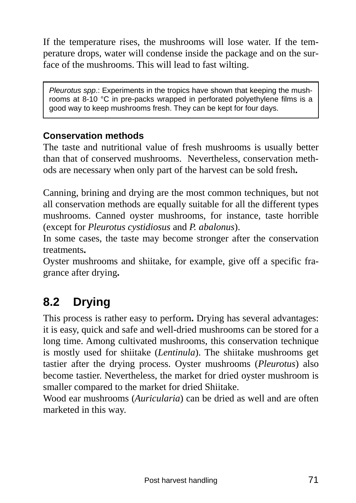If the temperature rises, the mushrooms will lose water. If the temperature drops, water will condense inside the package and on the surface of the mushrooms. This will lead to fast wilting.

*Pleurotus spp*.: Experiments in the tropics have shown that keeping the mushrooms at 8-10 °C in pre-packs wrapped in perforated polyethylene films is a good way to keep mushrooms fresh. They can be kept for four days.

#### **Conservation methods**

The taste and nutritional value of fresh mushrooms is usually better than that of conserved mushrooms. Nevertheless, conservation methods are necessary when only part of the harvest can be sold fresh**.** 

Canning, brining and drying are the most common techniques, but not all conservation methods are equally suitable for all the different types mushrooms. Canned oyster mushrooms, for instance, taste horrible (except for *Pleurotus cystidiosus* and *P. abalonus*).

In some cases, the taste may become stronger after the conservation treatments**.** 

Oyster mushrooms and shiitake, for example, give off a specific fragrance after drying**.** 

# **8.2 Drying**

This process is rather easy to perform**.** Drying has several advantages: it is easy, quick and safe and well-dried mushrooms can be stored for a long time. Among cultivated mushrooms, this conservation technique is mostly used for shiitake (*Lentinula*). The shiitake mushrooms get tastier after the drying process. Oyster mushrooms (*Pleurotus*) also become tastier. Nevertheless, the market for dried oyster mushroom is smaller compared to the market for dried Shiitake.

Wood ear mushrooms (*Auricularia*) can be dried as well and are often marketed in this way.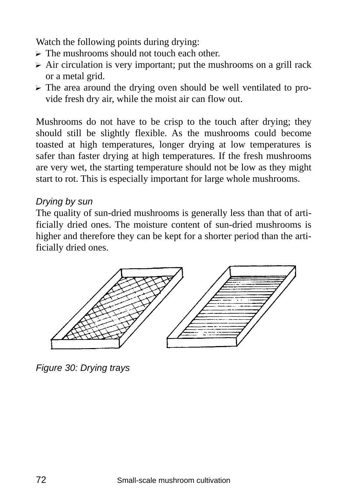Watch the following points during drying:

- $\triangleright$  The mushrooms should not touch each other.
- $\triangleright$  Air circulation is very important; put the mushrooms on a grill rack or a metal grid.
- $\triangleright$  The area around the drying oven should be well ventilated to provide fresh dry air, while the moist air can flow out.

Mushrooms do not have to be crisp to the touch after drying; they should still be slightly flexible. As the mushrooms could become toasted at high temperatures, longer drying at low temperatures is safer than faster drying at high temperatures. If the fresh mushrooms are very wet, the starting temperature should not be low as they might start to rot. This is especially important for large whole mushrooms.

#### *Drying by sun*

The quality of sun-dried mushrooms is generally less than that of artificially dried ones. The moisture content of sun-dried mushrooms is higher and therefore they can be kept for a shorter period than the artificially dried ones.



*Figure 30: Drying trays*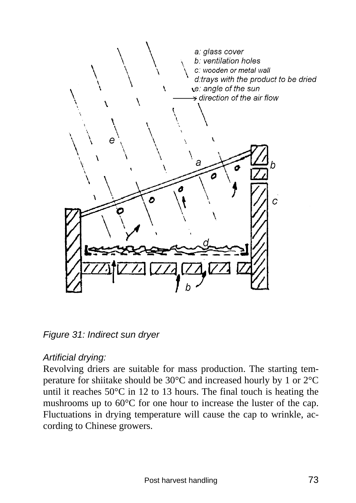

*Figure 31: Indirect sun dryer* 

### *Artificial drying:*

Revolving driers are suitable for mass production. The starting temperature for shiitake should be 30°C and increased hourly by 1 or 2°C until it reaches 50°C in 12 to 13 hours. The final touch is heating the mushrooms up to 60°C for one hour to increase the luster of the cap. Fluctuations in drying temperature will cause the cap to wrinkle, according to Chinese growers.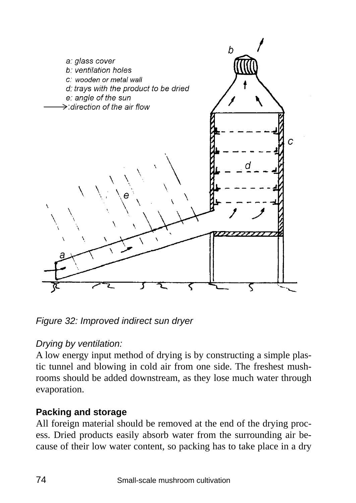

*Figure 32: Improved indirect sun dryer* 

# *Drying by ventilation:*

A low energy input method of drying is by constructing a simple plastic tunnel and blowing in cold air from one side. The freshest mushrooms should be added downstream, as they lose much water through evaporation.

# **Packing and storage**

All foreign material should be removed at the end of the drying process. Dried products easily absorb water from the surrounding air because of their low water content, so packing has to take place in a dry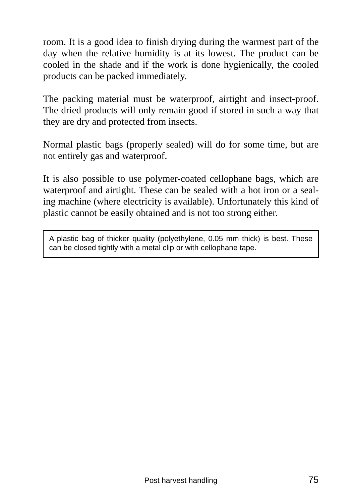room. It is a good idea to finish drying during the warmest part of the day when the relative humidity is at its lowest. The product can be cooled in the shade and if the work is done hygienically, the cooled products can be packed immediately.

The packing material must be waterproof, airtight and insect-proof. The dried products will only remain good if stored in such a way that they are dry and protected from insects.

Normal plastic bags (properly sealed) will do for some time, but are not entirely gas and waterproof.

It is also possible to use polymer-coated cellophane bags, which are waterproof and airtight. These can be sealed with a hot iron or a sealing machine (where electricity is available). Unfortunately this kind of plastic cannot be easily obtained and is not too strong either.

A plastic bag of thicker quality (polyethylene, 0.05 mm thick) is best. These can be closed tightly with a metal clip or with cellophane tape.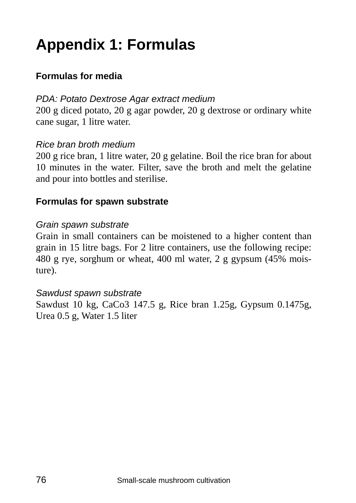# **Appendix 1: Formulas**

### **Formulas for media**

#### *PDA: Potato Dextrose Agar extract medium*

200 g diced potato, 20 g agar powder, 20 g dextrose or ordinary white cane sugar, 1 litre water.

#### *Rice bran broth medium*

200 g rice bran, 1 litre water, 20 g gelatine. Boil the rice bran for about 10 minutes in the water. Filter, save the broth and melt the gelatine and pour into bottles and sterilise.

#### **Formulas for spawn substrate**

#### *Grain spawn substrate*

Grain in small containers can be moistened to a higher content than grain in 15 litre bags. For 2 litre containers, use the following recipe: 480 g rye, sorghum or wheat, 400 ml water, 2 g gypsum (45% moisture).

#### *Sawdust spawn substrate*

Sawdust 10 kg, CaCo3 147.5 g, Rice bran 1.25g, Gypsum 0.1475g, Urea 0.5 g, Water 1.5 liter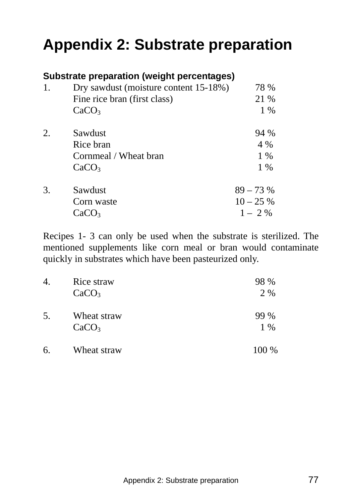# **Appendix 2: Substrate preparation**

| Substrate preparation (weight percentages) |                                       |             |  |  |
|--------------------------------------------|---------------------------------------|-------------|--|--|
| 1.                                         | Dry sawdust (moisture content 15-18%) | 78 %        |  |  |
|                                            | Fine rice bran (first class)          | 21 %        |  |  |
|                                            | CaCO <sub>3</sub>                     | $1\%$       |  |  |
| $\overline{2}$ .                           | Sawdust                               | 94 %        |  |  |
|                                            | Rice bran                             | 4 %         |  |  |
|                                            | Cornmeal / Wheat bran                 | $1\%$       |  |  |
|                                            | CaCO <sub>3</sub>                     | $1\%$       |  |  |
| 3.                                         | Sawdust                               | $89 - 73%$  |  |  |
|                                            | Corn waste                            | $10 - 25\%$ |  |  |
|                                            | CaCO <sub>3</sub>                     | $1 - 2\%$   |  |  |

Recipes 1- 3 can only be used when the substrate is sterilized. The mentioned supplements like corn meal or bran would contaminate quickly in substrates which have been pasteurized only.

| 4. | Rice straw<br>CaCO <sub>3</sub>  | 98 %<br>2 % |
|----|----------------------------------|-------------|
| 5. | Wheat straw<br>CaCO <sub>3</sub> | 99 %<br>1 % |
| 6. | Wheat straw                      | 100 %       |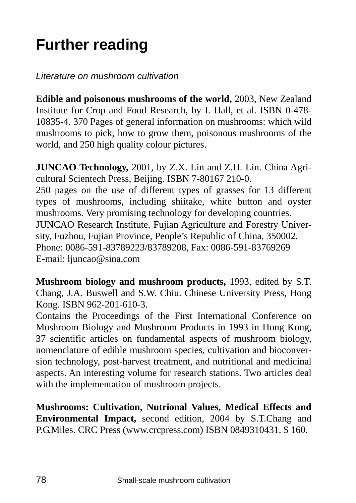# **Further reading**

*Literature on mushroom cultivation* 

**Edible and poisonous mushrooms of the world,** 2003, New Zealand Institute for Crop and Food Research, by I. Hall, et al. ISBN 0-478- 10835-4. 370 Pages of general information on mushrooms: which wild mushrooms to pick, how to grow them, poisonous mushrooms of the world, and 250 high quality colour pictures.

**JUNCAO Technology,** 2001, by Z.X. Lin and Z.H. Lin. China Agricultural Scientech Press, Beijing. ISBN 7-80167 210-0. 250 pages on the use of different types of grasses for 13 different types of mushrooms, including shiitake, white button and oyster mushrooms. Very promising technology for developing countries. JUNCAO Research Institute, Fujian Agriculture and Forestry University, Fuzhou, Fujian Province, People's Republic of China, 350002. Phone: 0086-591-83789223/83789208, Fax: 0086-591-83769269 E-mail: ljuncao@sina.com

**Mushroom biology and mushroom products,** 1993, edited by S.T. Chang, J.A. Buswell and S.W. Chiu. Chinese University Press, Hong Kong. ISBN 962-201-610-3.

Contains the Proceedings of the First International Conference on Mushroom Biology and Mushroom Products in 1993 in Hong Kong, 37 scientific articles on fundamental aspects of mushroom biology, nomenclature of edible mushroom species, cultivation and bioconversion technology, post-harvest treatment, and nutritional and medicinal aspects. An interesting volume for research stations. Two articles deal with the implementation of mushroom projects.

**Mushrooms: Cultivation, Nutrional Values, Medical Effects and Environmental Impact,** second edition, 2004 by S.T.Chang and P.G.Miles. CRC Press (www.crcpress.com) ISBN 0849310431. \$ 160.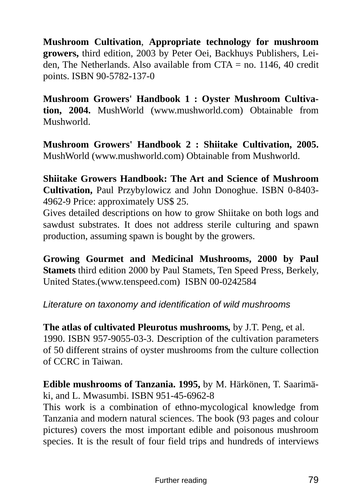**Mushroom Cultivation**, **Appropriate technology for mushroom growers,** third edition, 2003 by Peter Oei, Backhuys Publishers, Leiden, The Netherlands. Also available from  $CTA =$  no. 1146, 40 credit points. ISBN 90-5782-137-0

**Mushroom Growers' Handbook 1 : Oyster Mushroom Cultivation, 2004.** MushWorld (www.mushworld.com) Obtainable from Mushworld.

**Mushroom Growers' Handbook 2 : Shiitake Cultivation, 2005.**  MushWorld (www.mushworld.com) Obtainable from Mushworld.

**Shiitake Growers Handbook: The Art and Science of Mushroom Cultivation,** Paul Przybylowicz and John Donoghue. ISBN 0-8403- 4962-9 Price: approximately US\$ 25.

Gives detailed descriptions on how to grow Shiitake on both logs and sawdust substrates. It does not address sterile culturing and spawn production, assuming spawn is bought by the growers.

**Growing Gourmet and Medicinal Mushrooms, 2000 by Paul Stamets** third edition 2000 by Paul Stamets, Ten Speed Press, Berkely, United States.(www.tenspeed.com) ISBN 00-0242584

### *Literature on taxonomy and identification of wild mushrooms*

**The atlas of cultivated Pleurotus mushrooms***,* by J.T. Peng, et al. 1990. ISBN 957-9055-03-3. Description of the cultivation parameters of 50 different strains of oyster mushrooms from the culture collection of CCRC in Taiwan.

**Edible mushrooms of Tanzania. 1995,** by M. Härkönen, T. Saarimäki, and L. Mwasumbi. ISBN 951-45-6962-8

This work is a combination of ethno-mycological knowledge from Tanzania and modern natural sciences. The book (93 pages and colour pictures) covers the most important edible and poisonous mushroom species. It is the result of four field trips and hundreds of interviews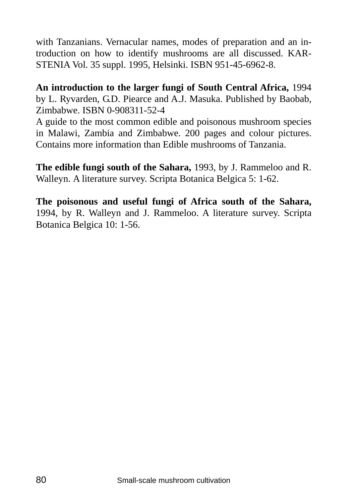with Tanzanians. Vernacular names, modes of preparation and an introduction on how to identify mushrooms are all discussed. KAR-STENIA Vol. 35 suppl. 1995, Helsinki. ISBN 951-45-6962-8.

**An introduction to the larger fungi of South Central Africa,** 1994 by L. Ryvarden, G.D. Piearce and A.J. Masuka. Published by Baobab, Zimbabwe. ISBN 0-908311-52-4

A guide to the most common edible and poisonous mushroom species in Malawi, Zambia and Zimbabwe. 200 pages and colour pictures. Contains more information than Edible mushrooms of Tanzania.

**The edible fungi south of the Sahara,** 1993, by J. Rammeloo and R. Walleyn. A literature survey. Scripta Botanica Belgica 5: 1-62.

**The poisonous and useful fungi of Africa south of the Sahara,**  1994, by R. Walleyn and J. Rammeloo. A literature survey. Scripta Botanica Belgica 10: 1-56.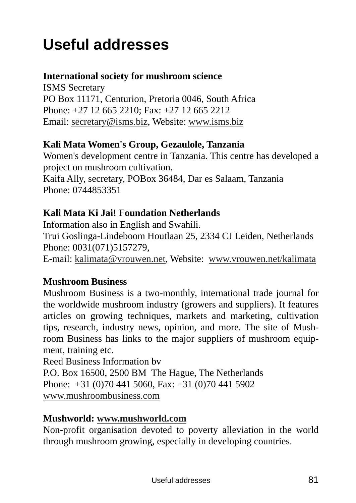# **Useful addresses**

### **International society for mushroom science**

ISMS Secretary PO Box 11171, Centurion, Pretoria 0046, South Africa Phone: +27 12 665 2210; Fax: +27 12 665 2212 Email: secretary@isms.biz, Website: www.isms.biz

### **Kali Mata Women's Group, Gezaulole, Tanzania**

Women's development centre in Tanzania. This centre has developed a project on mushroom cultivation.

Kaifa Ally, secretary, POBox 36484, Dar es Salaam, Tanzania Phone: 0744853351

# **Kali Mata Ki Jai! Foundation Netherlands**

Information also in English and Swahili. Trui Goslinga-Lindeboom Houtlaan 25, 2334 CJ Leiden, Netherlands Phone: 0031(071)5157279, E-mail: kalimata@vrouwen.net, Website: www.vrouwen.net/kalimata

# **Mushroom Business**

Mushroom Business is a two-monthly, international trade journal for the worldwide mushroom industry (growers and suppliers). It features articles on growing techniques, markets and marketing, cultivation tips, research, industry news, opinion, and more. The site of Mushroom Business has links to the major suppliers of mushroom equipment, training etc.

Reed Business Information bv P.O. Box 16500, 2500 BM The Hague, The Netherlands Phone: +31 (0)70 441 5060, Fax: +31 (0)70 441 5902 www.mushroombusiness.com

# **Mushworld: www.mushworld.com**

Non-profit organisation devoted to poverty alleviation in the world through mushroom growing, especially in developing countries.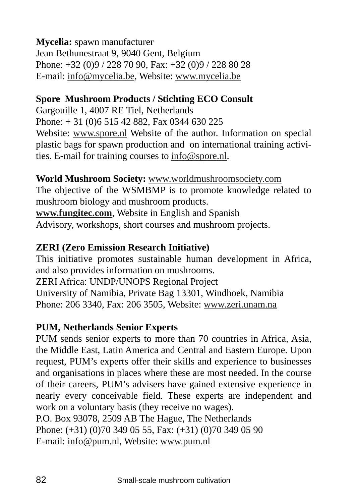### **Mycelia:** spawn manufacturer Jean Bethunestraat 9, 9040 Gent, Belgium Phone: +32 (0)9 / 228 70 90, Fax: +32 (0)9 / 228 80 28 E-mail: info@mycelia.be, Website: www.mycelia.be

# **Spore Mushroom Products / Stichting ECO Consult**

Gargouille 1, 4007 RE Tiel, Netherlands Phone: + 31 (0)6 515 42 882, Fax 0344 630 225 Website: www.spore.nl Website of the author. Information on special plastic bags for spawn production and on international training activities. E-mail for training courses to info@spore.nl.

### **World Mushroom Society:** www.worldmushroomsociety.com

The objective of the WSMBMP is to promote knowledge related to mushroom biology and mushroom products. **www.fungitec.com**, Website in English and Spanish Advisory, workshops, short courses and mushroom projects.

# **ZERI (Zero Emission Research Initiative)**

This initiative promotes sustainable human development in Africa, and also provides information on mushrooms. ZERI Africa: UNDP/UNOPS Regional Project University of Namibia, Private Bag 13301, Windhoek, Namibia Phone: 206 3340, Fax: 206 3505, Website: www.zeri.unam.na

### **PUM, Netherlands Senior Experts**

PUM sends senior experts to more than 70 countries in Africa, Asia, the Middle East, Latin America and Central and Eastern Europe. Upon request, PUM's experts offer their skills and experience to businesses and organisations in places where these are most needed. In the course of their careers, PUM's advisers have gained extensive experience in nearly every conceivable field. These experts are independent and work on a voluntary basis (they receive no wages). P.O. Box 93078, 2509 AB The Hague, The Netherlands Phone: (+31) (0)70 349 05 55, Fax: (+31) (0)70 349 05 90

E-mail: info@pum.nl, Website: www.pum.nl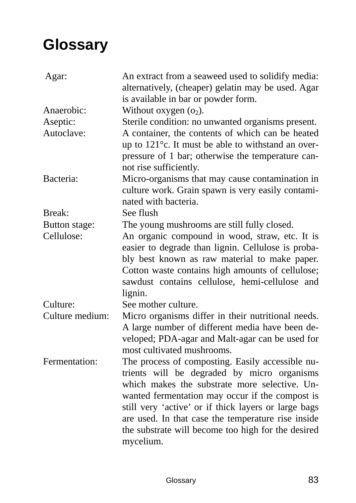# **Glossary**

| Agar:           | An extract from a seaweed used to solidify media:<br>alternatively, (cheaper) gelatin may be used. Agar<br>is available in bar or powder form.                                                                                                                                                                                                                                       |
|-----------------|--------------------------------------------------------------------------------------------------------------------------------------------------------------------------------------------------------------------------------------------------------------------------------------------------------------------------------------------------------------------------------------|
| Anaerobic:      | Without oxygen $(o_2)$ .                                                                                                                                                                                                                                                                                                                                                             |
| Aseptic:        | Sterile condition: no unwanted organisms present.                                                                                                                                                                                                                                                                                                                                    |
| Autoclave:      | A container, the contents of which can be heated<br>up to $121^{\circ}$ c. It must be able to withstand an over-<br>pressure of 1 bar; otherwise the temperature can-<br>not rise sufficiently.                                                                                                                                                                                      |
| Bacteria:       | Micro-organisms that may cause contamination in<br>culture work. Grain spawn is very easily contami-<br>nated with bacteria.                                                                                                                                                                                                                                                         |
| Break:          | See flush                                                                                                                                                                                                                                                                                                                                                                            |
| Button stage:   | The young mushrooms are still fully closed.                                                                                                                                                                                                                                                                                                                                          |
| Cellulose:      | An organic compound in wood, straw, etc. It is<br>easier to degrade than lignin. Cellulose is proba-<br>bly best known as raw material to make paper.<br>Cotton waste contains high amounts of cellulose;<br>sawdust contains cellulose, hemi-cellulose and<br>lignin.                                                                                                               |
| Culture:        | See mother culture.                                                                                                                                                                                                                                                                                                                                                                  |
| Culture medium: | Micro organisms differ in their nutritional needs.<br>A large number of different media have been de-<br>veloped; PDA-agar and Malt-agar can be used for<br>most cultivated mushrooms.                                                                                                                                                                                               |
| Fermentation:   | The process of composting. Easily accessible nu-<br>trients will be degraded by micro organisms<br>which makes the substrate more selective. Un-<br>wanted fermentation may occur if the compost is<br>still very 'active' or if thick layers or large bags<br>are used. In that case the temperature rise inside<br>the substrate will become too high for the desired<br>mycelium. |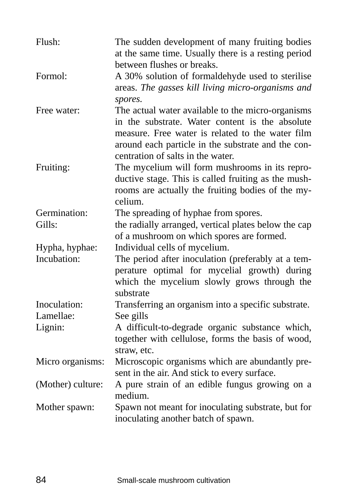| Flush:            | The sudden development of many fruiting bodies<br>at the same time. Usually there is a resting period<br>between flushes or breaks.                                                                            |
|-------------------|----------------------------------------------------------------------------------------------------------------------------------------------------------------------------------------------------------------|
| Formol:           | A 30% solution of formaldehyde used to sterilise<br>areas. The gasses kill living micro-organisms and<br>spores.                                                                                               |
| Free water:       | The actual water available to the micro-organisms<br>in the substrate. Water content is the absolute<br>measure. Free water is related to the water film<br>around each particle in the substrate and the con- |
| Fruiting:         | centration of salts in the water.<br>The mycelium will form mushrooms in its repro-                                                                                                                            |
|                   | ductive stage. This is called fruiting as the mush-<br>rooms are actually the fruiting bodies of the my-<br>celium.                                                                                            |
| Germination:      | The spreading of hyphae from spores.                                                                                                                                                                           |
| Gills:            | the radially arranged, vertical plates below the cap                                                                                                                                                           |
|                   | of a mushroom on which spores are formed.                                                                                                                                                                      |
| Hypha, hyphae:    | Individual cells of mycelium.                                                                                                                                                                                  |
| Incubation:       | The period after inoculation (preferably at a tem-<br>perature optimal for mycelial growth) during<br>which the mycelium slowly grows through the<br>substrate                                                 |
| Inoculation:      | Transferring an organism into a specific substrate.                                                                                                                                                            |
| Lamellae:         | See gills                                                                                                                                                                                                      |
| Lignin:           | A difficult-to-degrade organic substance which,<br>together with cellulose, forms the basis of wood,<br>straw, etc.                                                                                            |
| Micro organisms:  | Microscopic organisms which are abundantly pre-<br>sent in the air. And stick to every surface.                                                                                                                |
| (Mother) culture: | A pure strain of an edible fungus growing on a<br>medium.                                                                                                                                                      |
| Mother spawn:     | Spawn not meant for inoculating substrate, but for<br>inoculating another batch of spawn.                                                                                                                      |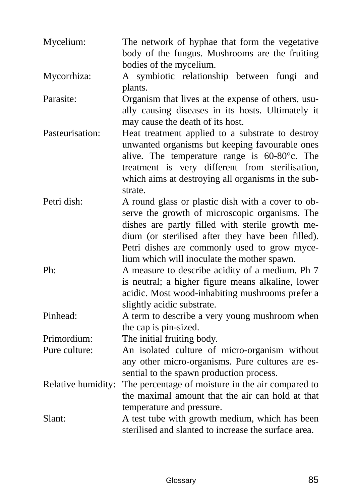| Mycelium:          | The network of hyphae that form the vegetative<br>body of the fungus. Mushrooms are the fruiting<br>bodies of the mycelium.                                                                                                                                                                                 |
|--------------------|-------------------------------------------------------------------------------------------------------------------------------------------------------------------------------------------------------------------------------------------------------------------------------------------------------------|
| Mycorrhiza:        | A symbiotic relationship between fungi<br>and<br>plants.                                                                                                                                                                                                                                                    |
| Parasite:          | Organism that lives at the expense of others, usu-<br>ally causing diseases in its hosts. Ultimately it<br>may cause the death of its host.                                                                                                                                                                 |
| Pasteurisation:    | Heat treatment applied to a substrate to destroy<br>unwanted organisms but keeping favourable ones<br>alive. The temperature range is 60-80°c. The<br>treatment is very different from sterilisation,<br>which aims at destroying all organisms in the sub-<br>strate.                                      |
| Petri dish:        | A round glass or plastic dish with a cover to ob-<br>serve the growth of microscopic organisms. The<br>dishes are partly filled with sterile growth me-<br>dium (or sterilised after they have been filled).<br>Petri dishes are commonly used to grow myce-<br>lium which will inoculate the mother spawn. |
| Ph:                | A measure to describe acidity of a medium. Ph 7<br>is neutral; a higher figure means alkaline, lower<br>acidic. Most wood-inhabiting mushrooms prefer a<br>slightly acidic substrate.                                                                                                                       |
| Pinhead:           | A term to describe a very young mushroom when<br>the cap is pin-sized.                                                                                                                                                                                                                                      |
| Primordium:        | The initial fruiting body.                                                                                                                                                                                                                                                                                  |
| Pure culture:      | An isolated culture of micro-organism without                                                                                                                                                                                                                                                               |
|                    | any other micro-organisms. Pure cultures are es-<br>sential to the spawn production process.                                                                                                                                                                                                                |
| Relative humidity: | The percentage of moisture in the air compared to<br>the maximal amount that the air can hold at that<br>temperature and pressure.                                                                                                                                                                          |
| Slant:             | A test tube with growth medium, which has been<br>sterilised and slanted to increase the surface area.                                                                                                                                                                                                      |